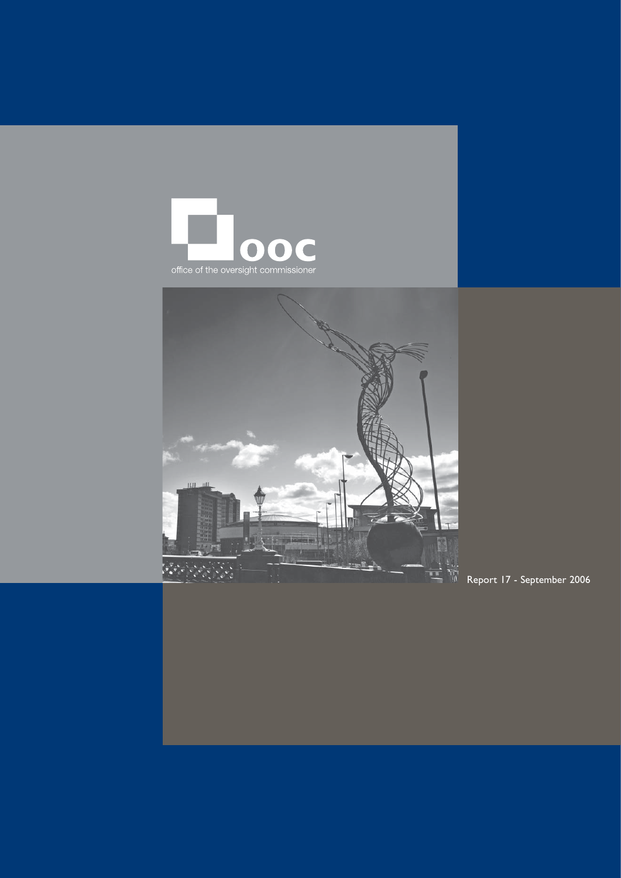



Report 17 - September 2006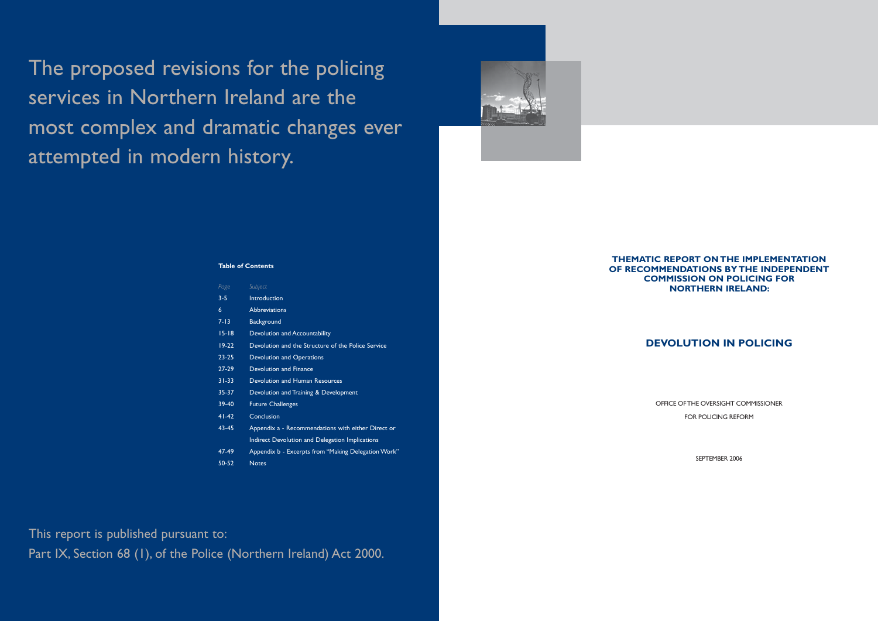# **THEMATIC REPORT ON THE IMPLEMENTATION OF RECOMMENDATIONS BY THE INDEPENDENT COMMISSION ON POLICING FOR NORTHERN IRELAND:**

# **DEVOLUTION IN POLICING**

OFFICE OF THE OVERSIGHT COMMISSIONER FOR POLICING REFORM

SEPTEMBER 2006

The proposed revisions for the policing services in Northern Ireland are the most complex and dramatic changes ever attempted in modern history.



# **Table of Contents**

| Page      | Subject                                             |  |
|-----------|-----------------------------------------------------|--|
| $3 - 5$   | Introduction                                        |  |
| 6         | <b>Abbreviations</b>                                |  |
| $7 - 13$  | Background                                          |  |
| $15 - 18$ | Devolution and Accountability                       |  |
| $19-22$   | Devolution and the Structure of the Police Service  |  |
| $23 - 25$ | <b>Devolution and Operations</b>                    |  |
| 27-29     | Devolution and Finance                              |  |
| $31 - 33$ | Devolution and Human Resources                      |  |
| 35-37     | Devolution and Training & Development               |  |
| $39-40$   | <b>Future Challenges</b>                            |  |
| $41 - 42$ | Conclusion                                          |  |
| 43-45     | Appendix a - Recommendations with either Direct or  |  |
|           | Indirect Devolution and Delegation Implications     |  |
| 47-49     | Appendix b - Excerpts from "Making Delegation Work" |  |
| 50-52     | <b>Notes</b>                                        |  |

This report is published pursuant to:

Part IX, Section 68 (1), of the Police (Northern Ireland) Act 2000.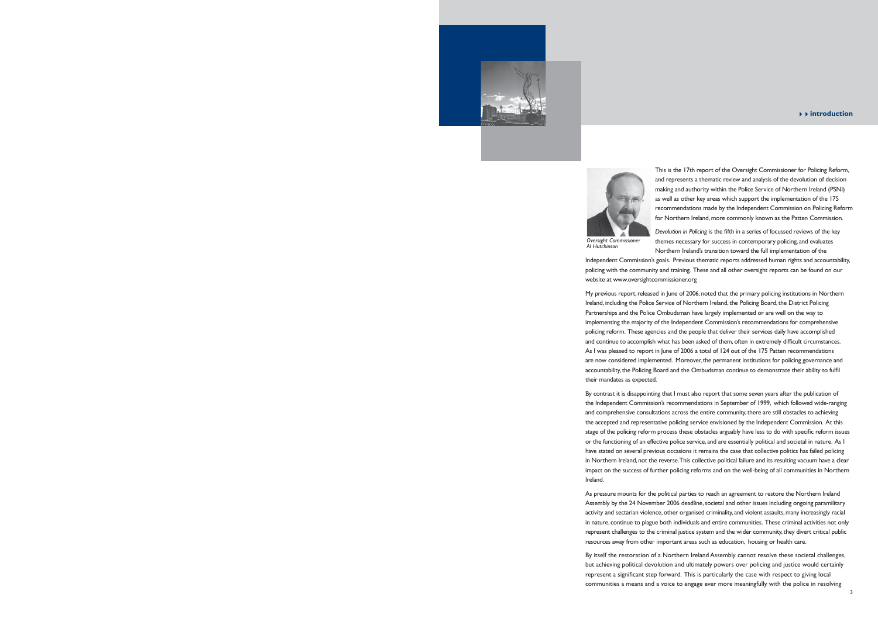This is the 17th report of the Oversight Commissioner for Policing Reform, and represents a thematic review and analysis of the devolution of decision making and authority within the Police Service of Northern Ireland (PSNI) as well as other key areas which support the implementation of the 175 recommendations made by the Independent Commission on Policing Reform for Northern Ireland, more commonly known as the Patten Commission.

My previous report, released in June of 2006, noted that the primary policing institutions in Northern Ireland, including the Police Service of Northern Ireland, the Policing Board, the District Policing Partnerships and the Police Ombudsman have largely implemented or are well on the way to implementing the majority of the Independent Commission's recommendations for comprehensive policing reform. These agencies and the people that deliver their services daily have accomplished and continue to accomplish what has been asked of them, often in extremely difficult circumstances. As I was pleased to report in June of 2006 a total of 124 out of the 175 Patten recommendations are now considered implemented. Moreover, the permanent institutions for policing governance and accountability, the Policing Board and the Ombudsman continue to demonstrate their ability to fulfi l their mandates as expected.



*Devolution in Policing* is the fifth in a series of focussed reviews of the key themes necessary for success in contemporary policing, and evaluates Northern Ireland's transition toward the full implementation of the Independent Commission's goals. Previous thematic reports addressed human rights and accountability, policing with the community and training. These and all other oversight reports can be found on our website at www.oversightcommissioner.org *Oversight Commissioner Al Hutchinson*

By contrast it is disappointing that I must also report that some seven years after the publication of the Independent Commission's recommendations in September of 1999, which followed wide-ranging and comprehensive consultations across the entire community, there are still obstacles to achieving the accepted and representative policing service envisioned by the Independent Commission. At this stage of the policing reform process these obstacles arguably have less to do with specific reform issues or the functioning of an effective police service, and are essentially political and societal in nature. As I have stated on several previous occasions it remains the case that collective politics has failed policing in Northern Ireland, not the reverse. This collective political failure and its resulting vacuum have a clear impact on the success of further policing reforms and on the well-being of all communities in Northern Ireland.

As pressure mounts for the political parties to reach an agreement to restore the Northern Ireland Assembly by the 24 November 2006 deadline, societal and other issues including ongoing paramilitary activity and sectarian violence, other organised criminality, and violent assaults, many increasingly racial in nature, continue to plague both individuals and entire communities. These criminal activities not only represent challenges to the criminal justice system and the wider community, they divert critical public resources away from other important areas such as education, housing or health care.

By itself the restoration of a Northern Ireland Assembly cannot resolve these societal challenges, but achieving political devolution and ultimately powers over policing and justice would certainly represent a significant step forward. This is particularly the case with respect to giving local communities a means and a voice to engage ever more meaningfully with the police in resolving

#### 44**introduction**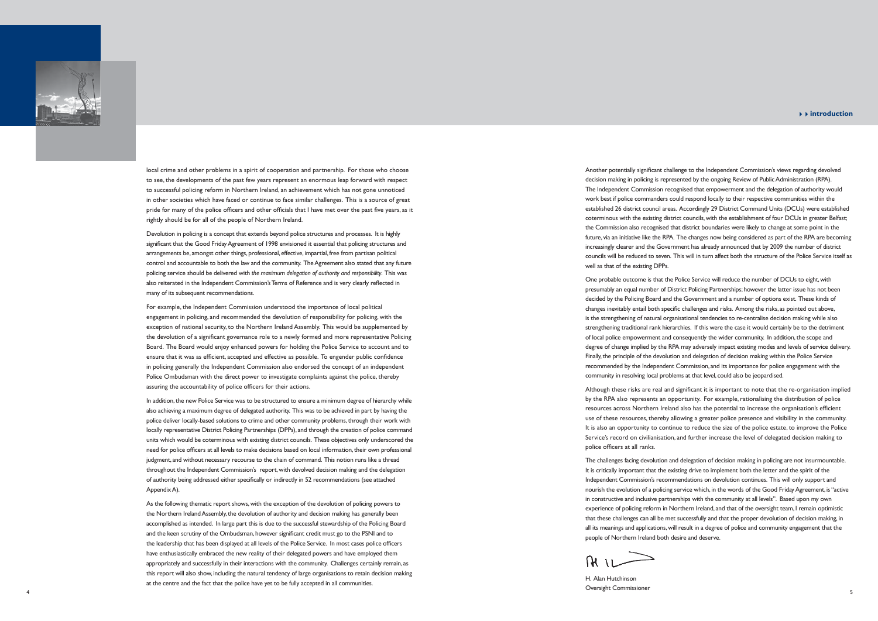### 44**introduction**

Another potentially significant challenge to the Independent Commission's views regarding devolved decision making in policing is represented by the ongoing Review of Public Administration (RPA). The Independent Commission recognised that empowerment and the delegation of authority would work best if police commanders could respond locally to their respective communities within the established 26 district council areas. Accordingly 29 District Command Units (DCUs) were established coterminous with the existing district councils, with the establishment of four DCUs in greater Belfast; the Commission also recognised that district boundaries were likely to change at some point in the future, via an initiative like the RPA. The changes now being considered as part of the RPA are becoming increasingly clearer and the Government has already announced that by 2009 the number of district councils will be reduced to seven. This will in turn affect both the structure of the Police Service itself as well as that of the existing DPPs.

One probable outcome is that the Police Service will reduce the number of DCUs to eight, with presumably an equal number of District Policing Partnerships; however the latter issue has not been decided by the Policing Board and the Government and a number of options exist. These kinds of changes inevitably entail both specific challenges and risks. Among the risks, as pointed out above, is the strengthening of natural organisational tendencies to re-centralise decision making while also strengthening traditional rank hierarchies. If this were the case it would certainly be to the detriment of local police empowerment and consequently the wider community. In addition, the scope and degree of change implied by the RPA may adversely impact existing modes and levels of service delivery. Finally, the principle of the devolution and delegation of decision making within the Police Service recommended by the Independent Commission, and its importance for police engagement with the community in resolving local problems at that level, could also be jeopardised.

Although these risks are real and significant it is important to note that the re-organisation implied by the RPA also represents an opportunity. For example, rationalising the distribution of police resources across Northern Ireland also has the potential to increase the organisation's efficient use of these resources, thereby allowing a greater police presence and visibility in the community. It is also an opportunity to continue to reduce the size of the police estate, to improve the Police Service's record on civilianisation, and further increase the level of delegated decision making to police officers at all ranks.

For example, the Independent Commission understood the importance of local political engagement in policing, and recommended the devolution of responsibility for policing, with the exception of national security, to the Northern Ireland Assembly. This would be supplemented by the devolution of a significant governance role to a newly formed and more representative Policing Board. The Board would enjoy enhanced powers for holding the Police Service to account and to ensure that it was as efficient, accepted and effective as possible. To engender public confidence in policing generally the Independent Commission also endorsed the concept of an independent Police Ombudsman with the direct power to investigate complaints against the police, thereby assuring the accountability of police officers for their actions.

> The challenges facing devolution and delegation of decision making in policing are not insurmountable. It is critically important that the existing drive to implement both the letter and the spirit of the Independent Commission's recommendations on devolution continues. This will only support and nourish the evolution of a policing service which, in the words of the Good Friday Agreement, is "active in constructive and inclusive partnerships with the community at all levels". Based upon my own experience of policing reform in Northern Ireland, and that of the oversight team, I remain optimistic that these challenges can all be met successfully and that the proper devolution of decision making, in all its meanings and applications, will result in a degree of police and community engagement that the people of Northern Ireland both desire and deserve.

 $\Omega$   $\Omega$ 

H. Alan Hutchinson Oversight Commissioner <sup>4</sup>



local crime and other problems in a spirit of cooperation and partnership. For those who choose to see, the developments of the past few years represent an enormous leap forward with respect to successful policing reform in Northern Ireland, an achievement which has not gone unnoticed in other societies which have faced or continue to face similar challenges. This is a source of great pride for many of the police officers and other officials that I have met over the past five years, as it rightly should be for all of the people of Northern Ireland.

Devolution in policing is a concept that extends beyond police structures and processes. It is highly significant that the Good Friday Agreement of 1998 envisioned it essential that policing structures and arrangements be, amongst other things, professional, effective, impartial, free from partisan political control and accountable to both the law and the community. The Agreement also stated that any future policing service should be delivered with *the maximum delegation of authority and responsibility*. This was also reiterated in the Independent Commission's Terms of Reference and is very clearly reflected in many of its subsequent recommendations.

In addition, the new Police Service was to be structured to ensure a minimum degree of hierarchy while also achieving a maximum degree of delegated authority. This was to be achieved in part by having the police deliver locally-based solutions to crime and other community problems, through their work with locally representative District Policing Partnerships (DPPs), and through the creation of police command units which would be coterminous with existing district councils. These objectives only underscored the need for police officers at all levels to make decisions based on local information, their own professional judgment, and without necessary recourse to the chain of command. This notion runs like a thread throughout the Independent Commission's report, with devolved decision making and the delegation of authority being addressed either specifically or indirectly in 52 recommendations (see attached Appendix A).

As the following thematic report shows, with the exception of the devolution of policing powers to the Northern Ireland Assembly, the devolution of authority and decision making has generally been accomplished as intended. In large part this is due to the successful stewardship of the Policing Board and the keen scrutiny of the Ombudsman, however significant credit must go to the PSNI and to the leadership that has been displayed at all levels of the Police Service. In most cases police officers have enthusiastically embraced the new reality of their delegated powers and have employed them appropriately and successfully in their interactions with the community. Challenges certainly remain, as this report will also show, including the natural tendency of large organisations to retain decision making at the centre and the fact that the police have yet to be fully accepted in all communities.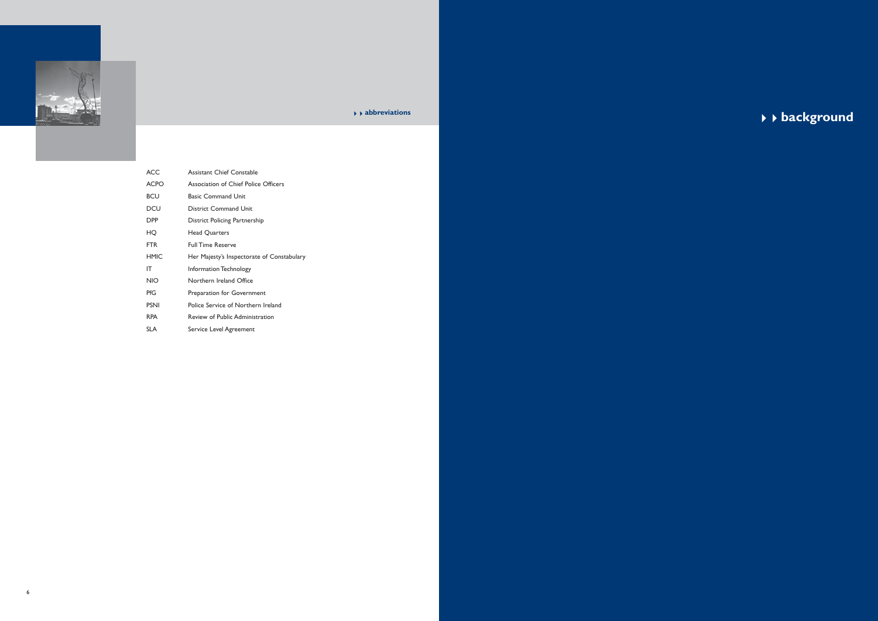

| <b>ACC</b>  | <b>Assistant Chief Constable</b>           |  |
|-------------|--------------------------------------------|--|
| <b>ACPO</b> | Association of Chief Police Officers       |  |
| <b>BCU</b>  | <b>Basic Command Unit</b>                  |  |
| DCU         | <b>District Command Unit</b>               |  |
| DPP         | District Policing Partnership              |  |
| HO          | <b>Head Quarters</b>                       |  |
| <b>FTR</b>  | <b>Full Time Reserve</b>                   |  |
| <b>HMIC</b> | Her Majesty's Inspectorate of Constabulary |  |
| IΤ          | Information Technology                     |  |
| <b>NIO</b>  | Northern Ireland Office                    |  |
| PfG         | Preparation for Government                 |  |
| <b>PSNI</b> | Police Service of Northern Ireland         |  |
| <b>RPA</b>  | Review of Public Administration            |  |
| SL A        | Service Level Agreement                    |  |

 $\rightarrow$  babbreviations<br>
★★ **background**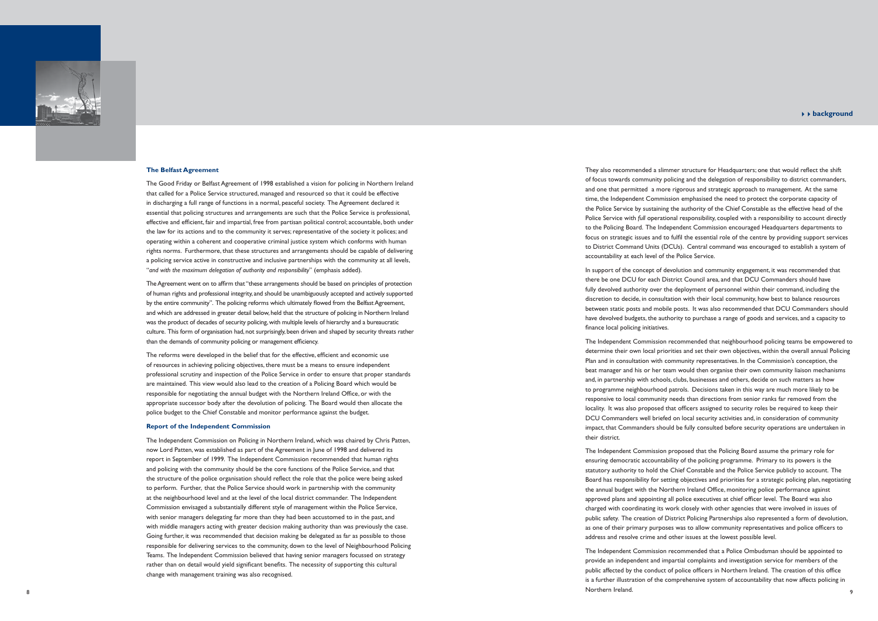#### <sup>44</sup>**background**

They also recommended a slimmer structure for Headquarters; one that would reflect the shift of focus towards community policing and the delegation of responsibility to district commanders, and one that permitted a more rigorous and strategic approach to management. At the same time, the Independent Commission emphasised the need to protect the corporate capacity of the Police Service by sustaining the authority of the Chief Constable as the effective head of the Police Service with *full* operational responsibility, coupled with a responsibility to account directly to the Policing Board. The Independent Commission encouraged Headquarters departments to focus on strategic issues and to fulfil the essential role of the centre by providing support services to District Command Units (DCUs). Central command was encouraged to establish a system of accountability at each level of the Police Service.

finance local policing initiatives.

In support of the concept of devolution and community engagement, it was recommended that there be one DCU for each District Council area, and that DCU Commanders should have fully devolved authority over the deployment of personnel within their command, including the discretion to decide, in consultation with their local community, how best to balance resources between static posts and mobile posts. It was also recommended that DCU Commanders should have devolved budgets, the authority to purchase a range of goods and services, and a capacity to

The Independent Commission recommended that neighbourhood policing teams be empowered to determine their own local priorities and set their own objectives, within the overall annual Policing Plan and in consultation with community representatives. In the Commission's conception, the beat manager and his or her team would then organise their own community liaison mechanisms and, in partnership with schools, clubs, businesses and others, decide on such matters as how to programme neighbourhood patrols. Decisions taken in this way are much more likely to be responsive to local community needs than directions from senior ranks far removed from the locality. It was also proposed that officers assigned to security roles be required to keep their DCU Commanders well briefed on local security activities and, in consideration of community impact, that Commanders should be fully consulted before security operations are undertaken in their district.

The Independent Commission proposed that the Policing Board assume the primary role for ensuring democratic accountability of the policing programme. Primary to its powers is the statutory authority to hold the Chief Constable and the Police Service publicly to account. The Board has responsibility for setting objectives and priorities for a strategic policing plan, negotiating the annual budget with the Northern Ireland Office, monitoring police performance against approved plans and appointing all police executives at chief officer level. The Board was also charged with coordinating its work closely with other agencies that were involved in issues of public safety. The creation of District Policing Partnerships also represented a form of devolution, as one of their primary purposes was to allow community representatives and police officers to address and resolve crime and other issues at the lowest possible level.

The reforms were developed in the belief that for the effective, efficient and economic use of resources in achieving policing objectives, there must be a means to ensure independent professional scrutiny and inspection of the Police Service in order to ensure that proper standards are maintained. This view would also lead to the creation of a Policing Board which would be responsible for negotiating the annual budget with the Northern Ireland Office, or with the appropriate successor body after the devolution of policing. The Board would then allocate the police budget to the Chief Constable and monitor performance against the budget.

The Independent Commission recommended that a Police Ombudsman should be appointed to provide an independent and impartial complaints and investigation service for members of the public affected by the conduct of police officers in Northern Ireland. The creation of this office is a further illustration of the comprehensive system of accountability that now affects policing in Northern Ireland. <sup>8</sup>



#### **The Belfast Agreement**

The Good Friday or Belfast Agreement of 1998 established a vision for policing in Northern Ireland that called for a Police Service structured, managed and resourced so that it could be effective in discharging a full range of functions in a normal, peaceful society. The Agreement declared it essential that policing structures and arrangements are such that the Police Service is professional, effective and efficient, fair and impartial, free from partisan political control; accountable, both under the law for its actions and to the community it serves; representative of the society it polices; and operating within a coherent and cooperative criminal justice system which conforms with human rights norms. Furthermore, that these structures and arrangements should be capable of delivering a policing service active in constructive and inclusive partnerships with the community at all levels, "*and with the maximum delegation of authority and responsibility*" (emphasis added).

The Agreement went on to affirm that "these arrangements should be based on principles of protection of human rights and professional integrity, and should be unambiguously accepted and actively supported by the entire community". The policing reforms which ultimately flowed from the Belfast Agreement, and which are addressed in greater detail below, held that the structure of policing in Northern Ireland was the product of decades of security policing, with multiple levels of hierarchy and a bureaucratic culture. This form of organisation had, not surprisingly, been driven and shaped by security threats rather than the demands of community policing or management efficiency.

#### **Report of the Independent Commission**

The Independent Commission on Policing in Northern Ireland, which was chaired by Chris Patten, now Lord Patten, was established as part of the Agreement in June of 1998 and delivered its report in September of 1999. The Independent Commission recommended that human rights and policing with the community should be the core functions of the Police Service, and that the structure of the police organisation should reflect the role that the police were being asked to perform. Further, that the Police Service should work in partnership with the community at the neighbourhood level and at the level of the local district commander. The Independent Commission envisaged a substantially different style of management within the Police Service, with senior managers delegating far more than they had been accustomed to in the past, and with middle managers acting with greater decision making authority than was previously the case. Going further, it was recommended that decision making be delegated as far as possible to those responsible for delivering services to the community, down to the level of Neighbourhood Policing Teams. The Independent Commission believed that having senior managers focussed on strategy rather than on detail would yield significant benefits. The necessity of supporting this cultural change with management training was also recognised.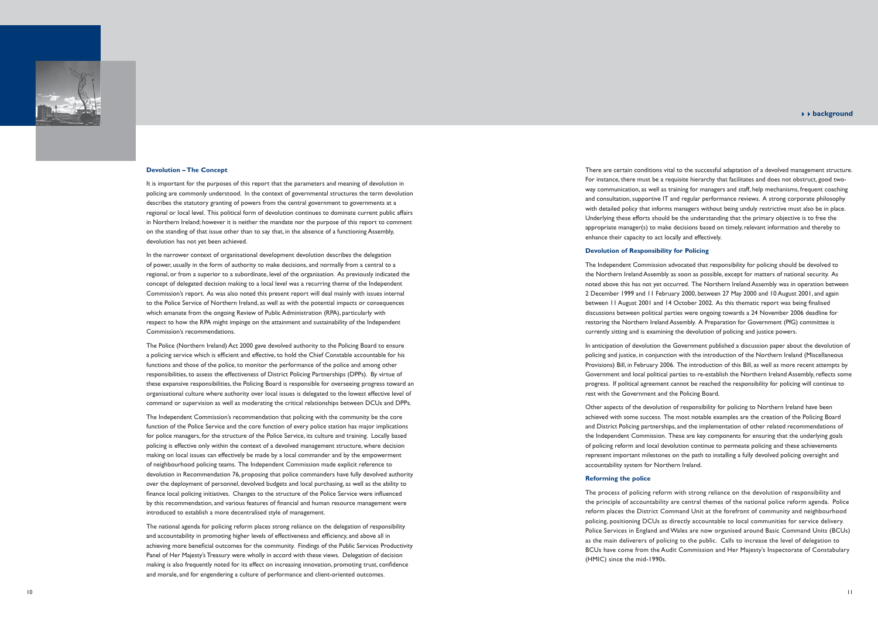### <sup>44</sup>**background**

There are certain conditions vital to the successful adaptation of a devolved management structure. For instance, there must be a requisite hierarchy that facilitates and does not obstruct, good twoway communication, as well as training for managers and staff, help mechanisms, frequent coaching and consultation, supportive IT and regular performance reviews. A strong corporate philosophy with detailed policy that informs managers without being unduly restrictive must also be in place. Underlying these efforts should be the understanding that the primary objective is to free the appropriate manager(s) to make decisions based on timely, relevant information and thereby to enhance their capacity to act locally and effectively.

### **Devolution of Responsibility for Policing**

The Independent Commission advocated that responsibility for policing should be devolved to the Northern Ireland Assembly as soon as possible, except for matters of national security. As noted above this has not yet occurred. The Northern Ireland Assembly was in operation between 2 December 1999 and 11 February 2000, between 27 May 2000 and 10 August 2001, and again between 11 August 2001 and 14 October 2002. As this thematic report was being finalised discussions between political parties were ongoing towards a 24 November 2006 deadline for restoring the Northern Ireland Assembly. A Preparation for Government (PfG) committee is currently sitting and is examining the devolution of policing and justice powers.

In anticipation of devolution the Government published a discussion paper about the devolution of policing and justice, in conjunction with the introduction of the Northern Ireland (Miscellaneous Provisions) Bill, in February 2006. The introduction of this Bill, as well as more recent attempts by Government and local political parties to re-establish the Northern Ireland Assembly, reflects some progress. If political agreement cannot be reached the responsibility for policing will continue to rest with the Government and the Policing Board.

Other aspects of the devolution of responsibility for policing to Northern Ireland have been achieved with some success. The most notable examples are the creation of the Policing Board and District Policing partnerships, and the implementation of other related recommendations of the Independent Commission. These are key components for ensuring that the underlying goals of policing reform and local devolution continue to permeate policing and these achievements represent important milestones on the path to installing a fully devolved policing oversight and accountability system for Northern Ireland.

# **Reforming the police**

The process of policing reform with strong reliance on the devolution of responsibility and the principle of accountability are central themes of the national police reform agenda. Police reform places the District Command Unit at the forefront of community and neighbourhood policing, positioning DCUs as directly accountable to local communities for service delivery. Police Services in England and Wales are now organised around Basic Command Units (BCUs) as the main deliverers of policing to the public. Calls to increase the level of delegation to BCUs have come from the Audit Commission and Her Majesty's Inspectorate of Constabulary (HMIC) since the mid-1990s.



#### **Devolution – The Concept**

It is important for the purposes of this report that the parameters and meaning of devolution in policing are commonly understood. In the context of governmental structures the term devolution describes the statutory granting of powers from the central government to governments at a regional or local level. This political form of devolution continues to dominate current public affairs in Northern Ireland; however it is neither the mandate nor the purpose of this report to comment on the standing of that issue other than to say that, in the absence of a functioning Assembly, devolution has not yet been achieved.

In the narrower context of organisational development devolution describes the delegation of power, usually in the form of authority to make decisions, and normally from a central to a regional, or from a superior to a subordinate, level of the organisation. As previously indicated the concept of delegated decision making to a local level was a recurring theme of the Independent Commission's report. As was also noted this present report will deal mainly with issues internal to the Police Service of Northern Ireland, as well as with the potential impacts or consequences which emanate from the ongoing Review of Public Administration (RPA), particularly with respect to how the RPA might impinge on the attainment and sustainability of the Independent Commission's recommendations.

The Police (Northern Ireland) Act 2000 gave devolved authority to the Policing Board to ensure a policing service which is efficient and effective, to hold the Chief Constable accountable for his functions and those of the police, to monitor the performance of the police and among other responsibilities, to assess the effectiveness of District Policing Partnerships (DPPs). By virtue of these expansive responsibilities, the Policing Board is responsible for overseeing progress toward an organisational culture where authority over local issues is delegated to the lowest effective level of command or supervision as well as moderating the critical relationships between DCUs and DPPs.

The Independent Commission's recommendation that policing with the community be the core function of the Police Service and the core function of every police station has major implications for police managers, for the structure of the Police Service, its culture and training. Locally based policing is effective only within the context of a devolved management structure, where decision making on local issues can effectively be made by a local commander and by the empowerment of neighbourhood policing teams. The Independent Commission made explicit reference to devolution in Recommendation 76, proposing that police commanders have fully devolved authority over the deployment of personnel, devolved budgets and local purchasing, as well as the ability to finance local policing initiatives. Changes to the structure of the Police Service were influenced by this recommendation, and various features of financial and human resource management were introduced to establish a more decentralised style of management.

The national agenda for policing reform places strong reliance on the delegation of responsibility and accountability in promoting higher levels of effectiveness and efficiency, and above all in achieving more beneficial outcomes for the community. Findings of the Public Services Productivity Panel of Her Majesty's Treasury were wholly in accord with these views. Delegation of decision making is also frequently noted for its effect on increasing innovation, promoting trust, confidence and morale, and for engendering a culture of performance and client-oriented outcomes.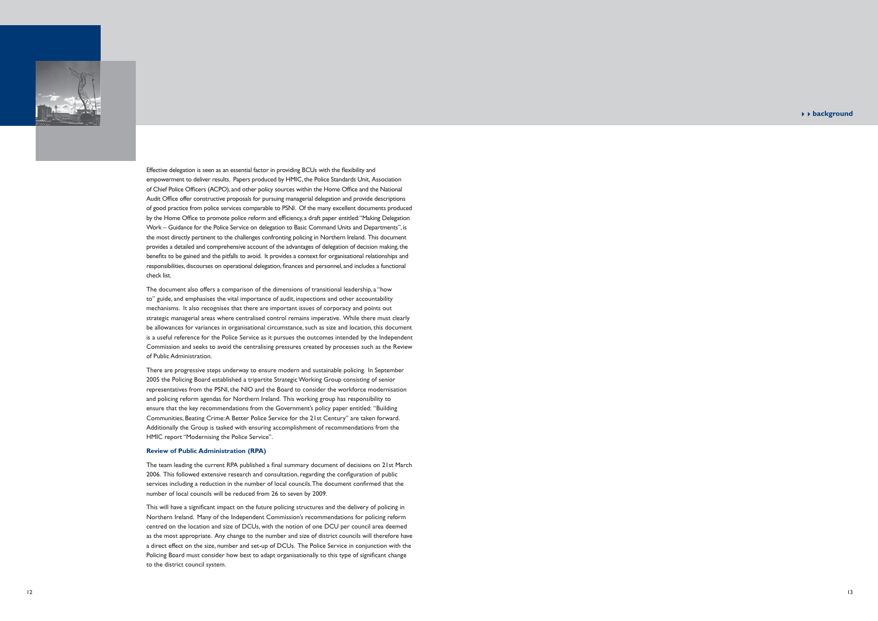## <sup>44</sup>**background**



Effective delegation is seen as an essential factor in providing BCUs with the flexibility and empowerment to deliver results. Papers produced by HMIC, the Police Standards Unit, Association of Chief Police Officers (ACPO), and other policy sources within the Home Office and the National Audit Office offer constructive proposals for pursuing managerial delegation and provide descriptions of good practice from police services comparable to PSNI. Of the many excellent documents produced by the Home Office to promote police reform and efficiency, a draft paper entitled: "Making Delegation Work – Guidance for the Police Service on delegation to Basic Command Units and Departments", is the most directly pertinent to the challenges confronting policing in Northern Ireland. This document provides a detailed and comprehensive account of the advantages of delegation of decision making, the benefits to be gained and the pitfalls to avoid. It provides a context for organisational relationships and responsibilities, discourses on operational delegation, finances and personnel, and includes a functional check list.

The team leading the current RPA published a final summary document of decisions on 21st March 2006. This followed extensive research and consultation, regarding the configuration of public services including a reduction in the number of local councils. The document confirmed that the number of local councils will be reduced from 26 to seven by 2009.

The document also offers a comparison of the dimensions of transitional leadership, a "how to" guide, and emphasises the vital importance of audit, inspections and other accountability mechanisms. It also recognises that there are important issues of corporacy and points out strategic managerial areas where centralised control remains imperative. While there must clearly be allowances for variances in organisational circumstance, such as size and location, this document is a useful reference for the Police Service as it pursues the outcomes intended by the Independent Commission and seeks to avoid the centralising pressures created by processes such as the Review of Public Administration.

This will have a significant impact on the future policing structures and the delivery of policing in Northern Ireland. Many of the Independent Commission's recommendations for policing reform centred on the location and size of DCUs, with the notion of one DCU per council area deemed as the most appropriate. Any change to the number and size of district councils will therefore have a direct effect on the size, number and set-up of DCUs. The Police Service in conjunction with the Policing Board must consider how best to adapt organisationally to this type of significant change to the district council system.

There are progressive steps underway to ensure modern and sustainable policing. In September 2005 the Policing Board established a tripartite Strategic Working Group consisting of senior representatives from the PSNI, the NIO and the Board to consider the workforce modernisation and policing reform agendas for Northern Ireland. This working group has responsibility to ensure that the key recommendations from the Government's policy paper entitled: "Building Communities, Beating Crime: A Better Police Service for the 21st Century" are taken forward. Additionally the Group is tasked with ensuring accomplishment of recommendations from the HMIC report "Modernising the Police Service".

#### **Review of Public Administration (RPA)**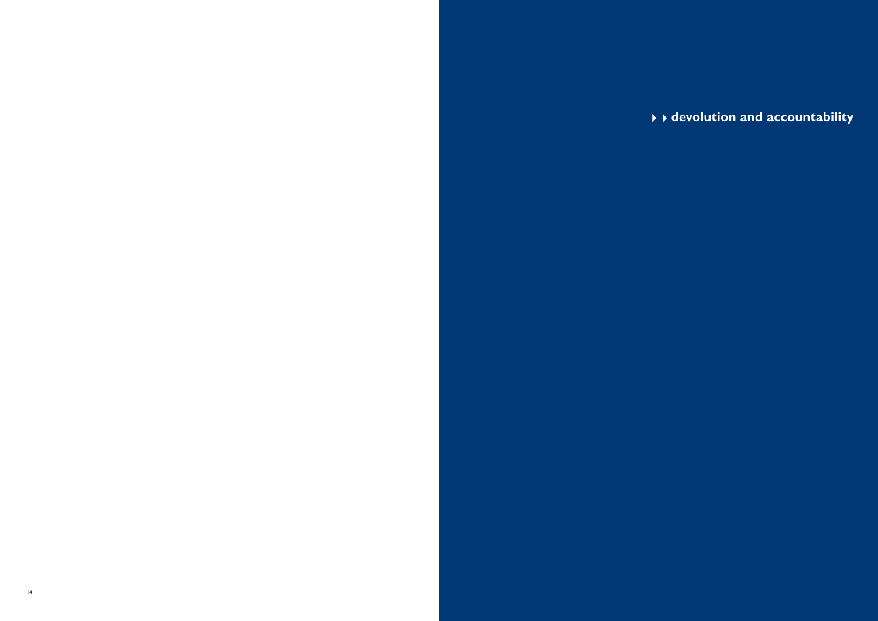# **devolution and accountability**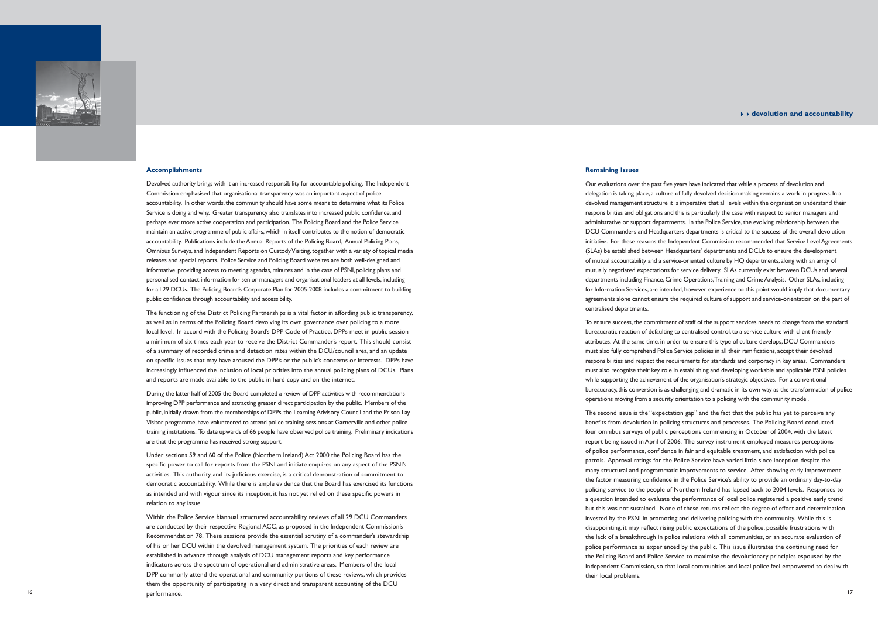### <sup>44</sup>**devolution and accountability**

#### **Remaining Issues**

Our evaluations over the past five years have indicated that while a process of devolution and delegation is taking place, a culture of fully devolved decision making remains a work in progress. In a devolved management structure it is imperative that all levels within the organisation understand their responsibilities and obligations and this is particularly the case with respect to senior managers and administrative or support departments. In the Police Service, the evolving relationship between the DCU Commanders and Headquarters departments is critical to the success of the overall devolution initiative. For these reasons the Independent Commission recommended that Service Level Agreements (SLAs) be established between Headquarters' departments and DCUs to ensure the development of mutual accountability and a service-oriented culture by HQ departments, along with an array of mutually negotiated expectations for service delivery. SLAs currently exist between DCUs and several departments including Finance, Crime Operations, Training and Crime Analysis. Other SLAs, including for Information Services, are intended, however experience to this point would imply that documentary agreements alone cannot ensure the required culture of support and service-orientation on the part of centralised departments.

To ensure success, the commitment of staff of the support services needs to change from the standard bureaucratic reaction of defaulting to centralised control, to a service culture with client-friendly attributes. At the same time, in order to ensure this type of culture develops, DCU Commanders must also fully comprehend Police Service policies in all their ramifications, accept their devolved responsibilities and respect the requirements for standards and corporacy in key areas. Commanders must also recognise their key role in establishing and developing workable and applicable PSNI policies while supporting the achievement of the organisation's strategic objectives. For a conventional bureaucracy, this conversion is as challenging and dramatic in its own way as the transformation of police operations moving from a security orientation to a policing with the community model.

Devolved authority brings with it an increased responsibility for accountable policing. The Independent Commission emphasised that organisational transparency was an important aspect of police accountability. In other words, the community should have some means to determine what its Police Service is doing and why. Greater transparency also translates into increased public confidence, and perhaps ever more active cooperation and participation. The Policing Board and the Police Service maintain an active programme of public affairs, which in itself contributes to the notion of democratic accountability. Publications include the Annual Reports of the Policing Board, Annual Policing Plans, Omnibus Surveys, and Independent Reports on Custody Visiting, together with a variety of topical media releases and special reports. Police Service and Policing Board websites are both well-designed and informative, providing access to meeting agendas, minutes and in the case of PSNI, policing plans and personalised contact information for senior managers and organisational leaders at all levels, including for all 29 DCUs. The Policing Board's Corporate Plan for 2005-2008 includes a commitment to building public confidence through accountability and accessibility.

> The second issue is the "expectation gap" and the fact that the public has yet to perceive any benefits from devolution in policing structures and processes. The Policing Board conducted four omnibus surveys of public perceptions commencing in October of 2004, with the latest report being issued in April of 2006. The survey instrument employed measures perceptions of police performance, confidence in fair and equitable treatment, and satisfaction with police patrols. Approval ratings for the Police Service have varied little since inception despite the many structural and programmatic improvements to service. After showing early improvement the factor measuring confidence in the Police Service's ability to provide an ordinary day-to-day policing service to the people of Northern Ireland has lapsed back to 2004 levels. Responses to a question intended to evaluate the performance of local police registered a positive early trend but this was not sustained. None of these returns reflect the degree of effort and determination invested by the PSNI in promoting and delivering policing with the community. While this is disappointing, it may reflect rising public expectations of the police, possible frustrations with the lack of a breakthrough in police relations with all communities, or an accurate evaluation of police performance as experienced by the public. This issue illustrates the continuing need for the Policing Board and Police Service to maximise the devolutionary principles espoused by the Independent Commission, so that local communities and local police feel empowered to deal with their local problems.



#### **Accomplishments**

The functioning of the District Policing Partnerships is a vital factor in affording public transparency, as well as in terms of the Policing Board devolving its own governance over policing to a more local level. In accord with the Policing Board's DPP Code of Practice, DPPs meet in public session a minimum of six times each year to receive the District Commander's report. This should consist of a summary of recorded crime and detection rates within the DCU/council area, and an update on specific issues that may have aroused the DPP's or the public's concerns or interests. DPPs have increasingly influenced the inclusion of local priorities into the annual policing plans of DCUs. Plans and reports are made available to the public in hard copy and on the internet.

During the latter half of 2005 the Board completed a review of DPP activities with recommendations improving DPP performance and attracting greater direct participation by the public. Members of the public, initially drawn from the memberships of DPPs, the Learning Advisory Council and the Prison Lay Visitor programme, have volunteered to attend police training sessions at Garnerville and other police training institutions. To date upwards of 66 people have observed police training. Preliminary indications are that the programme has received strong support.

Under sections 59 and 60 of the Police (Northern Ireland) Act 2000 the Policing Board has the specific power to call for reports from the PSNI and initiate enquires on any aspect of the PSNI's activities. This authority, and its judicious exercise, is a critical demonstration of commitment to democratic accountability. While there is ample evidence that the Board has exercised its functions as intended and with vigour since its inception, it has not yet relied on these specific powers in relation to any issue.

Within the Police Service biannual structured accountability reviews of all 29 DCU Commanders are conducted by their respective Regional ACC, as proposed in the Independent Commission's Recommendation 78. These sessions provide the essential scrutiny of a commander's stewardship of his or her DCU within the devolved management system. The priorities of each review are established in advance through analysis of DCU management reports and key performance indicators across the spectrum of operational and administrative areas. Members of the local DPP commonly attend the operational and community portions of these reviews, which provides them the opportunity of participating in a very direct and transparent accounting of the DCU performance.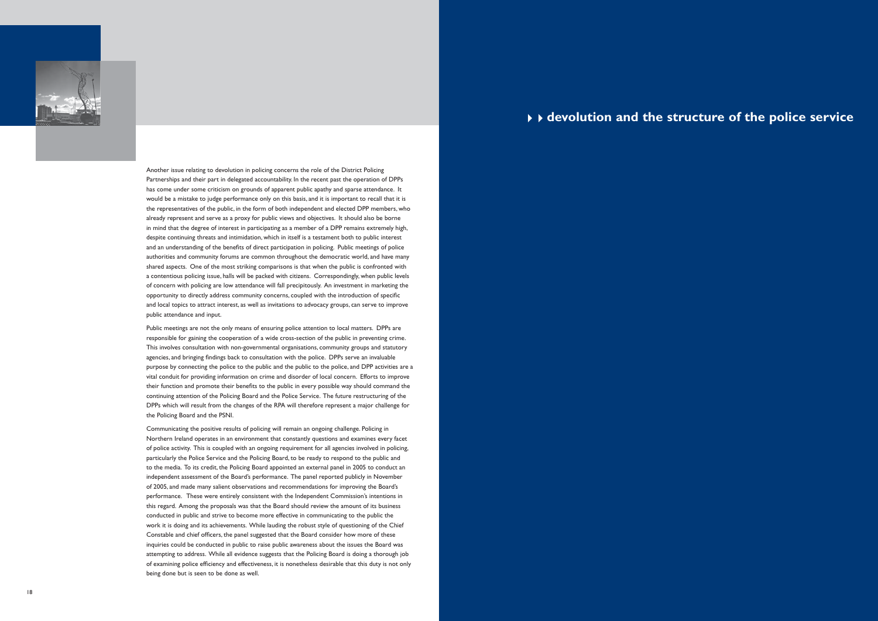

Another issue relating to devolution in policing concerns the role of the District Policing Partnerships and their part in delegated accountability. In the recent past the operation of DPPs has come under some criticism on grounds of apparent public apathy and sparse attendance. It would be a mistake to judge performance only on this basis, and it is important to recall that it is the representatives of the public, in the form of both independent and elected DPP members, who already represent and serve as a proxy for public views and objectives. It should also be borne in mind that the degree of interest in participating as a member of a DPP remains extremely high, despite continuing threats and intimidation, which in itself is a testament both to public interest and an understanding of the benefits of direct participation in policing. Public meetings of police authorities and community forums are common throughout the democratic world, and have many shared aspects. One of the most striking comparisons is that when the public is confronted with a contentious policing issue, halls will be packed with citizens. Correspondingly, when public levels of concern with policing are low attendance will fall precipitously. An investment in marketing the opportunity to directly address community concerns, coupled with the introduction of specific and local topics to attract interest, as well as invitations to advocacy groups, can serve to improve public attendance and input.

Public meetings are not the only means of ensuring police attention to local matters. DPPs are responsible for gaining the cooperation of a wide cross-section of the public in preventing crime. This involves consultation with non-governmental organisations, community groups and statutory agencies, and bringing findings back to consultation with the police. DPPs serve an invaluable purpose by connecting the police to the public and the public to the police, and DPP activities are a vital conduit for providing information on crime and disorder of local concern. Efforts to improve their function and promote their benefits to the public in every possible way should command the continuing attention of the Policing Board and the Police Service. The future restructuring of the DPPs which will result from the changes of the RPA will therefore represent a major challenge for the Policing Board and the PSNI.

Communicating the positive results of policing will remain an ongoing challenge. Policing in Northern Ireland operates in an environment that constantly questions and examines every facet of police activity. This is coupled with an ongoing requirement for all agencies involved in policing, particularly the Police Service and the Policing Board, to be ready to respond to the public and to the media. To its credit, the Policing Board appointed an external panel in 2005 to conduct an independent assessment of the Board's performance. The panel reported publicly in November of 2005, and made many salient observations and recommendations for improving the Board's performance. These were entirely consistent with the Independent Commission's intentions in this regard. Among the proposals was that the Board should review the amount of its business conducted in public and strive to become more effective in communicating to the public the work it is doing and its achievements. While lauding the robust style of questioning of the Chief Constable and chief officers, the panel suggested that the Board consider how more of these inquiries could be conducted in public to raise public awareness about the issues the Board was attempting to address. While all evidence suggests that the Policing Board is doing a thorough job of examining police efficiency and effectiveness, it is nonetheless desirable that this duty is not only being done but is seen to be done as well.

# 44**devolution and the structure of the police service**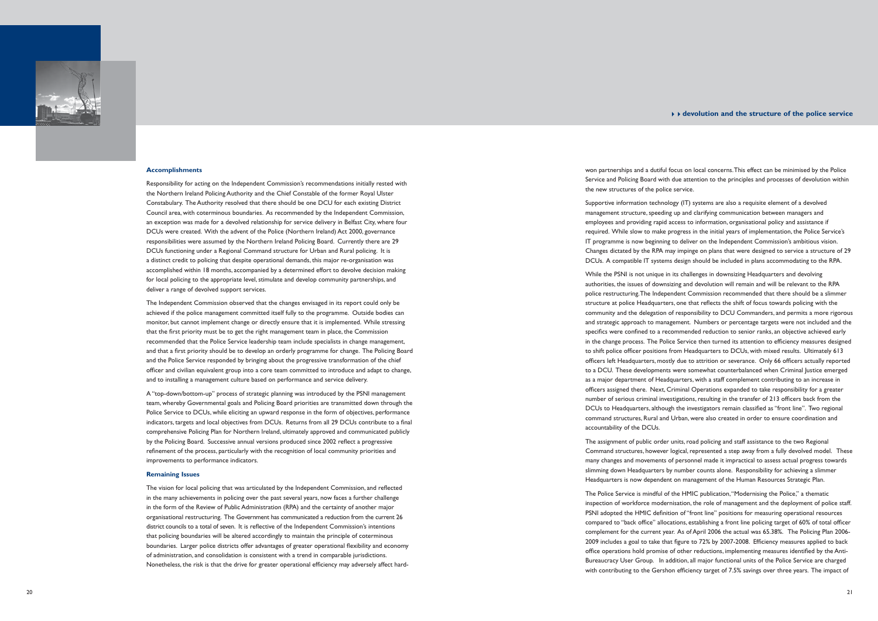## <sup>44</sup>**devolution and the structure of the police service**

won partnerships and a dutiful focus on local concerns. This effect can be minimised by the Police Service and Policing Board with due attention to the principles and processes of devolution within the new structures of the police service.

Supportive information technology (IT) systems are also a requisite element of a devolved management structure, speeding up and clarifying communication between managers and employees and providing rapid access to information, organisational policy and assistance if required. While slow to make progress in the initial years of implementation, the Police Service's IT programme is now beginning to deliver on the Independent Commission's ambitious vision. Changes dictated by the RPA may impinge on plans that were designed to service a structure of 29 DCUs. A compatible IT systems design should be included in plans accommodating to the RPA.

The Police Service is mindful of the HMIC publication, "Modernising the Police," a thematic inspection of workforce modernisation, the role of management and the deployment of police staff. PSNI adopted the HMIC definition of "front line" positions for measuring operational resources compared to "back office" allocations, establishing a front line policing target of 60% of total officer complement for the current year. As of April 2006 the actual was 65.38%. The Policing Plan 2006- 2009 includes a goal to take that figure to 72% by 2007-2008. Efficiency measures applied to back office operations hold promise of other reductions, implementing measures identified by the Anti-Bureaucracy User Group. In addition, all major functional units of the Police Service are charged with contributing to the Gershon efficiency target of 7.5% savings over three years. The impact of

While the PSNI is not unique in its challenges in downsizing Headquarters and devolving authorities, the issues of downsizing and devolution will remain and will be relevant to the RPA police restructuring. The Independent Commission recommended that there should be a slimmer structure at police Headquarters, one that reflects the shift of focus towards policing with the community and the delegation of responsibility to DCU Commanders, and permits a more rigorous and strategic approach to management. Numbers or percentage targets were not included and the specifics were confined to a recommended reduction to senior ranks, an objective achieved early in the change process. The Police Service then turned its attention to efficiency measures designed to shift police officer positions from Headquarters to DCUs, with mixed results. Ultimately 613 officers left Headquarters, mostly due to attrition or severance. Only 66 officers actually reported to a DCU. These developments were somewhat counterbalanced when Criminal Justice emerged as a major department of Headquarters, with a staff complement contributing to an increase in officers assigned there. Next, Criminal Operations expanded to take responsibility for a greater number of serious criminal investigations, resulting in the transfer of 213 officers back from the DCUs to Headquarters, although the investigators remain classified as "front line". Two regional command structures, Rural and Urban, were also created in order to ensure coordination and accountability of the DCUs.

The assignment of public order units, road policing and staff assistance to the two Regional Command structures, however logical, represented a step away from a fully devolved model. These many changes and movements of personnel made it impractical to assess actual progress towards slimming down Headquarters by number counts alone. Responsibility for achieving a slimmer Headquarters is now dependent on management of the Human Resources Strategic Plan.



#### **Accomplishments**

Responsibility for acting on the Independent Commission's recommendations initially rested with the Northern Ireland Policing Authority and the Chief Constable of the former Royal Ulster Constabulary. The Authority resolved that there should be one DCU for each existing District Council area, with coterminous boundaries. As recommended by the Independent Commission, an exception was made for a devolved relationship for service delivery in Belfast City, where four DCUs were created. With the advent of the Police (Northern Ireland) Act 2000, governance responsibilities were assumed by the Northern Ireland Policing Board. Currently there are 29 DCUs functioning under a Regional Command structure for Urban and Rural policing. It is a distinct credit to policing that despite operational demands, this major re-organisation was accomplished within 18 months, accompanied by a determined effort to devolve decision making for local policing to the appropriate level, stimulate and develop community partnerships, and deliver a range of devolved support services.

The Independent Commission observed that the changes envisaged in its report could only be achieved if the police management committed itself fully to the programme. Outside bodies can monitor, but cannot implement change or directly ensure that it is implemented. While stressing that the first priority must be to get the right management team in place, the Commission recommended that the Police Service leadership team include specialists in change management, and that a first priority should be to develop an orderly programme for change. The Policing Board and the Police Service responded by bringing about the progressive transformation of the chief officer and civilian equivalent group into a core team committed to introduce and adapt to change, and to installing a management culture based on performance and service delivery.

A "top-down/bottom-up" process of strategic planning was introduced by the PSNI management team, whereby Governmental goals and Policing Board priorities are transmitted down through the Police Service to DCUs, while eliciting an upward response in the form of objectives, performance indicators, targets and local objectives from DCUs. Returns from all 29 DCUs contribute to a final comprehensive Policing Plan for Northern Ireland, ultimately approved and communicated publicly by the Policing Board. Successive annual versions produced since 2002 reflect a progressive refinement of the process, particularly with the recognition of local community priorities and improvements to performance indicators.

#### **Remaining Issues**

The vision for local policing that was articulated by the Independent Commission, and reflected in the many achievements in policing over the past several years, now faces a further challenge in the form of the Review of Public Administration (RPA) and the certainty of another major organisational restructuring. The Government has communicated a reduction from the current 26 district councils to a total of seven. It is reflective of the Independent Commission's intentions that policing boundaries will be altered accordingly to maintain the principle of coterminous boundaries. Larger police districts offer advantages of greater operational flexibility and economy of administration, and consolidation is consistent with a trend in comparable jurisdictions. Nonetheless, the risk is that the drive for greater operational efficiency may adversely affect hard-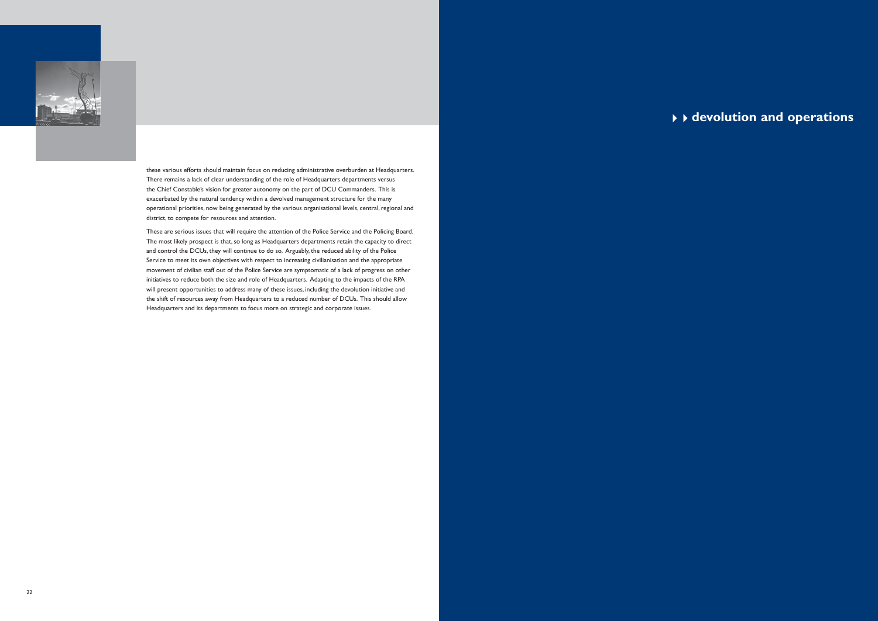

these various efforts should maintain focus on reducing administrative overburden at Headquarters. There remains a lack of clear understanding of the role of Headquarters departments versus the Chief Constable's vision for greater autonomy on the part of DCU Commanders. This is exacerbated by the natural tendency within a devolved management structure for the many operational priorities, now being generated by the various organisational levels, central, regional and district, to compete for resources and attention.

These are serious issues that will require the attention of the Police Service and the Policing Board. The most likely prospect is that, so long as Headquarters departments retain the capacity to direct and control the DCUs, they will continue to do so. Arguably, the reduced ability of the Police Service to meet its own objectives with respect to increasing civilianisation and the appropriate movement of civilian staff out of the Police Service are symptomatic of a lack of progress on other initiatives to reduce both the size and role of Headquarters. Adapting to the impacts of the RPA will present opportunities to address many of these issues, including the devolution initiative and the shift of resources away from Headquarters to a reduced number of DCUs. This should allow Headquarters and its departments to focus more on strategic and corporate issues.

# 44**devolution and operations**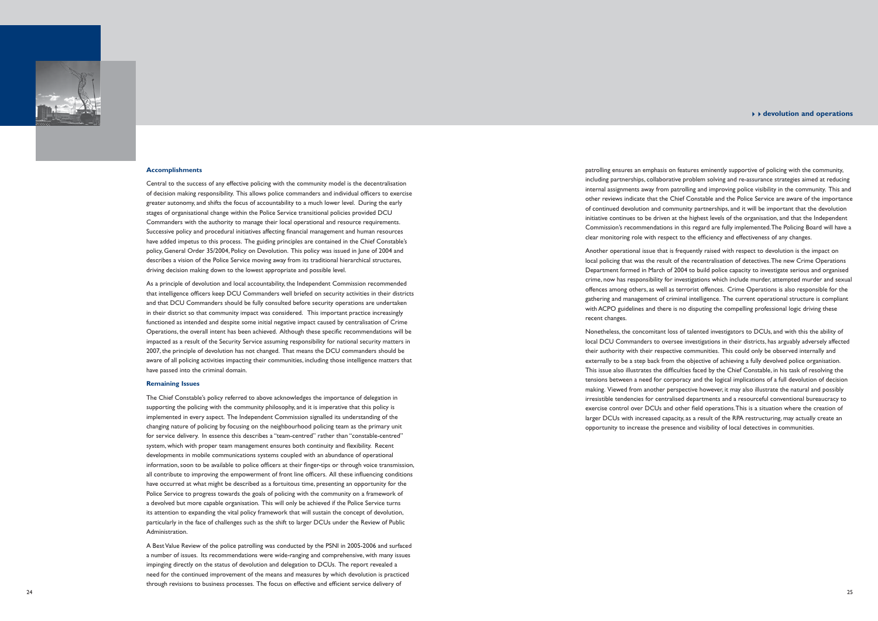patrolling ensures an emphasis on features eminently supportive of policing with the community, including partnerships, collaborative problem solving and re-assurance strategies aimed at reducing internal assignments away from patrolling and improving police visibility in the community. This and other reviews indicate that the Chief Constable and the Police Service are aware of the importance of continued devolution and community partnerships, and it will be important that the devolution initiative continues to be driven at the highest levels of the organisation, and that the Independent Commission's recommendations in this regard are fully implemented. The Policing Board will have a clear monitoring role with respect to the efficiency and effectiveness of any changes.

### <sup>44</sup>**devolution and operations**

Another operational issue that is frequently raised with respect to devolution is the impact on local policing that was the result of the recentralisation of detectives. The new Crime Operations Department formed in March of 2004 to build police capacity to investigate serious and organised crime, now has responsibility for investigations which include murder, attempted murder and sexual offences among others, as well as terrorist offences. Crime Operations is also responsible for the gathering and management of criminal intelligence. The current operational structure is compliant with ACPO guidelines and there is no disputing the compelling professional logic driving these

recent changes.

Nonetheless, the concomitant loss of talented investigators to DCUs, and with this the ability of local DCU Commanders to oversee investigations in their districts, has arguably adversely affected their authority with their respective communities. This could only be observed internally and externally to be a step back from the objective of achieving a fully devolved police organisation. This issue also illustrates the difficulties faced by the Chief Constable, in his task of resolving the tensions between a need for corporacy and the logical implications of a full devolution of decision making. Viewed from another perspective however, it may also illustrate the natural and possibly irresistible tendencies for centralised departments and a resourceful conventional bureaucracy to exercise control over DCUs and other field operations. This is a situation where the creation of larger DCUs with increased capacity, as a result of the RPA restructuring, may actually create an opportunity to increase the presence and visibility of local detectives in communities.



#### **Accomplishments**

A Best Value Review of the police patrolling was conducted by the PSNI in 2005-2006 and surfaced a number of issues. Its recommendations were wide-ranging and comprehensive, with many issues impinging directly on the status of devolution and delegation to DCUs. The report revealed a need for the continued improvement of the means and measures by which devolution is practiced through revisions to business processes. The focus on effective and efficient service delivery of

Central to the success of any effective policing with the community model is the decentralisation of decision making responsibility. This allows police commanders and individual officers to exercise greater autonomy, and shifts the focus of accountability to a much lower level. During the early stages of organisational change within the Police Service transitional policies provided DCU Commanders with the authority to manage their local operational and resource requirements. Successive policy and procedural initiatives affecting financial management and human resources have added impetus to this process. The guiding principles are contained in the Chief Constable's policy, General Order 35/2004, Policy on Devolution. This policy was issued in June of 2004 and describes a vision of the Police Service moving away from its traditional hierarchical structures, driving decision making down to the lowest appropriate and possible level.

As a principle of devolution and local accountability, the Independent Commission recommended that intelligence officers keep DCU Commanders well briefed on security activities in their districts and that DCU Commanders should be fully consulted before security operations are undertaken in their district so that community impact was considered. This important practice increasingly functioned as intended and despite some initial negative impact caused by centralisation of Crime Operations, the overall intent has been achieved. Although these specific recommendations will be impacted as a result of the Security Service assuming responsibility for national security matters in 2007, the principle of devolution has not changed. That means the DCU commanders should be aware of all policing activities impacting their communities, including those intelligence matters that have passed into the criminal domain.

#### **Remaining Issues**

The Chief Constable's policy referred to above acknowledges the importance of delegation in supporting the policing with the community philosophy, and it is imperative that this policy is implemented in every aspect. The Independent Commission signalled its understanding of the changing nature of policing by focusing on the neighbourhood policing team as the primary unit for service delivery. In essence this describes a "team-centred" rather than "constable-centred" system, which with proper team management ensures both continuity and flexibility. Recent developments in mobile communications systems coupled with an abundance of operational information, soon to be available to police officers at their finger-tips or through voice transmission, all contribute to improving the empowerment of front line officers. All these influencing conditions have occurred at what might be described as a fortuitous time, presenting an opportunity for the Police Service to progress towards the goals of policing with the community on a framework of a devolved but more capable organisation. This will only be achieved if the Police Service turns its attention to expanding the vital policy framework that will sustain the concept of devolution, particularly in the face of challenges such as the shift to larger DCUs under the Review of Public Administration.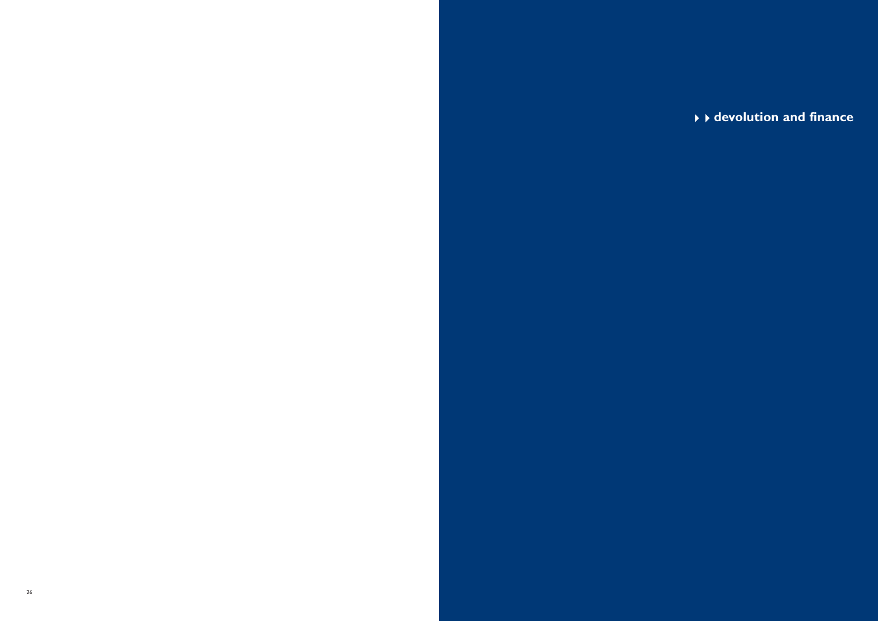# **devolution and finance**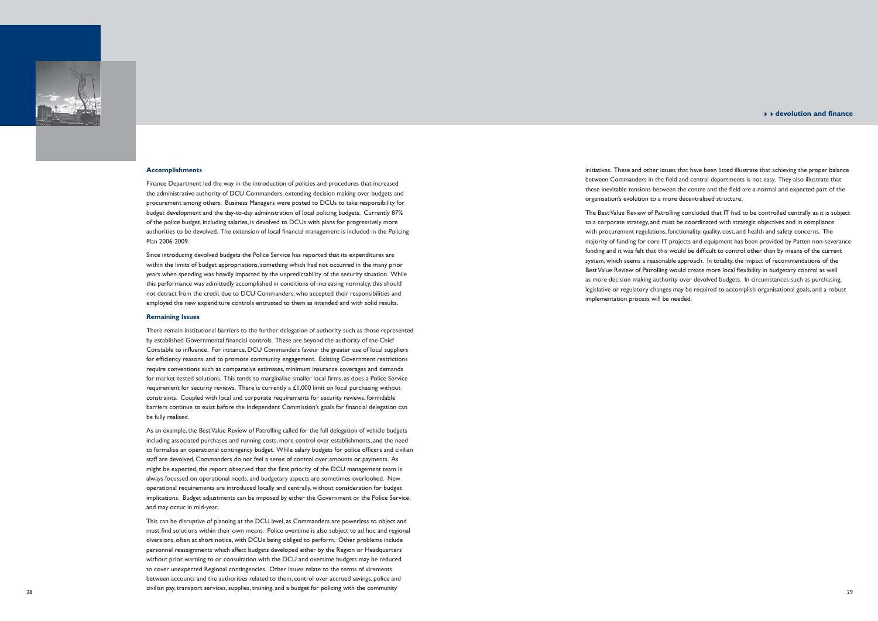#### 44**devolution and finance**

initiatives. These and other issues that have been listed illustrate that achieving the proper balance between Commanders in the field and central departments is not easy. They also illustrate that these inevitable tensions between the centre and the field are a normal and expected part of the organisation's evolution to a more decentralised structure.

The Best Value Review of Patrolling concluded that IT had to be controlled centrally as it is subject to a corporate strategy, and must be coordinated with strategic objectives and in compliance with procurement regulations, functionality, quality, cost, and health and safety concerns. The majority of funding for core IT projects and equipment has been provided by Patten non-severance funding and it was felt that this would be difficult to control other than by means of the current system, which seems a reasonable approach. In totality, the impact of recommendations of the Best Value Review of Patrolling would create more local flexibility in budgetary control as well as more decision making authority over devolved budgets. In circumstances such as purchasing, legislative or regulatory changes may be required to accomplish organisational goals, and a robust implementation process will be needed.



#### **Accomplishments**

Finance Department led the way in the introduction of policies and procedures that increased the administrative authority of DCU Commanders, extending decision making over budgets and procurement among others. Business Managers were posted to DCUs to take responsibility for budget development and the day-to-day administration of local policing budgets. Currently 87% of the police budget, including salaries, is devolved to DCUs with plans for progressively more authorities to be devolved. The extension of local financial management is included in the Policing Plan 2006-2009.

Since introducing devolved budgets the Police Service has reported that its expenditures are within the limits of budget appropriations, something which had not occurred in the many prior years when spending was heavily impacted by the unpredictability of the security situation. While this performance was admittedly accomplished in conditions of increasing normalcy, this should not detract from the credit due to DCU Commanders, who accepted their responsibilities and employed the new expenditure controls entrusted to them as intended and with solid results.

#### **Remaining Issues**

There remain institutional barriers to the further delegation of authority such as those represented by established Governmental financial controls. These are beyond the authority of the Chief Constable to influence. For instance, DCU Commanders favour the greater use of local suppliers for efficiency reasons, and to promote community engagement. Existing Government restrictions require conventions such as comparative estimates, minimum insurance coverages and demands for market-tested solutions. This tends to marginalise smaller local firms, as does a Police Service requirement for security reviews. There is currently a  $£1,000$  limit on local purchasing without constraints. Coupled with local and corporate requirements for security reviews, formidable barriers continue to exist before the Independent Commission's goals for financial delegation can be fully realised.

As an example, the Best Value Review of Patrolling called for the full delegation of vehicle budgets including associated purchases and running costs, more control over establishments, and the need to formalise an operational contingency budget. While salary budgets for police officers and civilian staff are devolved, Commanders do not feel a sense of control over amounts or payments. As might be expected, the report observed that the first priority of the DCU management team is always focussed on operational needs, and budgetary aspects are sometimes overlooked. New operational requirements are introduced locally and centrally, without consideration for budget implications. Budget adjustments can be imposed by either the Government or the Police Service, and may occur in mid-year.

This can be disruptive of planning at the DCU level, as Commanders are powerless to object and must find solutions within their own means. Police overtime is also subject to ad hoc and regional diversions, often at short notice, with DCUs being obliged to perform. Other problems include personnel reassignments which affect budgets developed either by the Region or Headquarters without prior warning to or consultation with the DCU and overtime budgets may be reduced to cover unexpected Regional contingencies. Other issues relate to the terms of virements between accounts and the authorities related to them, control over accrued savings, police and civilian pay, transport services, supplies, training, and a budget for policing with the community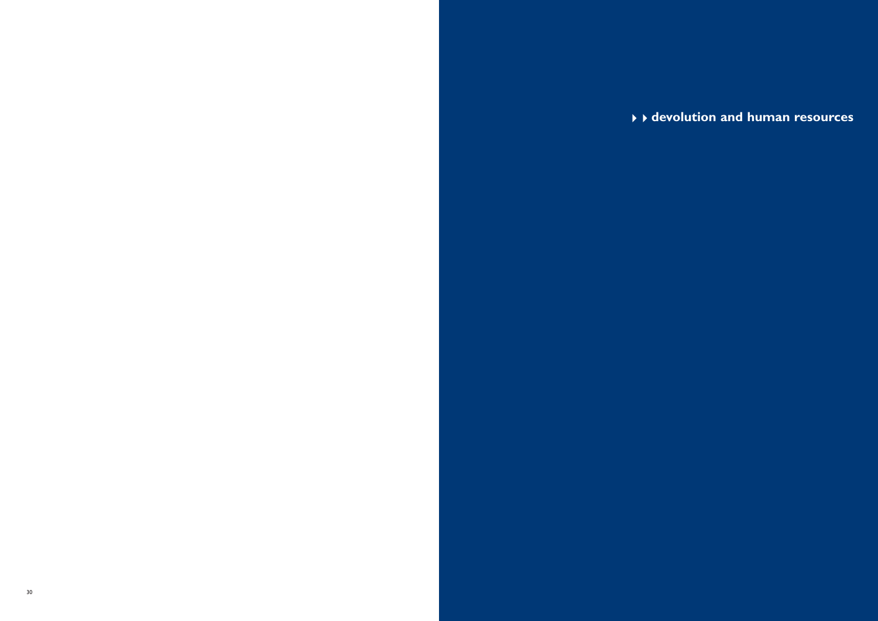**devolution and human resources**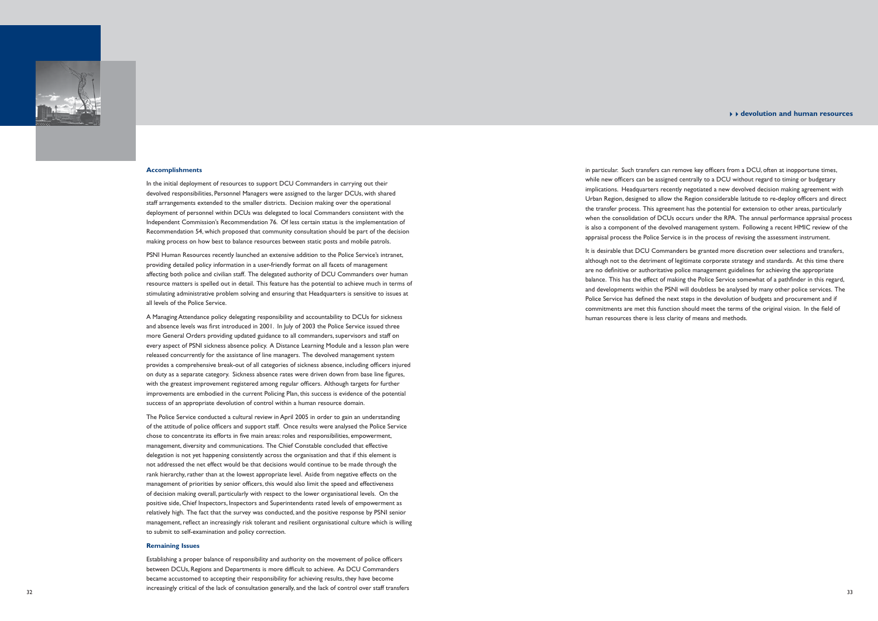#### 44**devolution and human resources**

in particular. Such transfers can remove key officers from a DCU, often at inopportune times, while new officers can be assigned centrally to a DCU without regard to timing or budgetary implications. Headquarters recently negotiated a new devolved decision making agreement with Urban Region, designed to allow the Region considerable latitude to re-deploy officers and direct the transfer process. This agreement has the potential for extension to other areas, particularly when the consolidation of DCUs occurs under the RPA. The annual performance appraisal process is also a component of the devolved management system. Following a recent HMIC review of the appraisal process the Police Service is in the process of revising the assessment instrument.

It is desirable that DCU Commanders be granted more discretion over selections and transfers, although not to the detriment of legitimate corporate strategy and standards. At this time there are no definitive or authoritative police management guidelines for achieving the appropriate balance. This has the effect of making the Police Service somewhat of a pathfinder in this regard, and developments within the PSNI will doubtless be analysed by many other police services. The Police Service has defined the next steps in the devolution of budgets and procurement and if commitments are met this function should meet the terms of the original vision. In the field of human resources there is less clarity of means and methods.



#### **Accomplishments**

In the initial deployment of resources to support DCU Commanders in carrying out their devolved responsibilities, Personnel Managers were assigned to the larger DCUs, with shared staff arrangements extended to the smaller districts. Decision making over the operational deployment of personnel within DCUs was delegated to local Commanders consistent with the Independent Commission's Recommendation 76. Of less certain status is the implementation of Recommendation 54, which proposed that community consultation should be part of the decision making process on how best to balance resources between static posts and mobile patrols.

PSNI Human Resources recently launched an extensive addition to the Police Service's intranet, providing detailed policy information in a user-friendly format on all facets of management affecting both police and civilian staff. The delegated authority of DCU Commanders over human resource matters is spelled out in detail. This feature has the potential to achieve much in terms of stimulating administrative problem solving and ensuring that Headquarters is sensitive to issues at all levels of the Police Service.

Establishing a proper balance of responsibility and authority on the movement of police officers between DCUs, Regions and Departments is more difficult to achieve. As DCU Commanders became accustomed to accepting their responsibility for achieving results, they have become increasingly critical of the lack of consultation generally, and the lack of control over staff transfers

A Managing Attendance policy delegating responsibility and accountability to DCUs for sickness and absence levels was first introduced in 2001. In July of 2003 the Police Service issued three more General Orders providing updated guidance to all commanders, supervisors and staff on every aspect of PSNI sickness absence policy. A Distance Learning Module and a lesson plan were released concurrently for the assistance of line managers. The devolved management system provides a comprehensive break-out of all categories of sickness absence, including officers injured on duty as a separate category. Sickness absence rates were driven down from base line figures, with the greatest improvement registered among regular officers. Although targets for further improvements are embodied in the current Policing Plan, this success is evidence of the potential success of an appropriate devolution of control within a human resource domain.

The Police Service conducted a cultural review in April 2005 in order to gain an understanding of the attitude of police officers and support staff. Once results were analysed the Police Service chose to concentrate its efforts in five main areas: roles and responsibilities, empowerment, management, diversity and communications. The Chief Constable concluded that effective delegation is not yet happening consistently across the organisation and that if this element is not addressed the net effect would be that decisions would continue to be made through the rank hierarchy, rather than at the lowest appropriate level. Aside from negative effects on the management of priorities by senior officers, this would also limit the speed and effectiveness of decision making overall, particularly with respect to the lower organisational levels. On the positive side, Chief Inspectors, Inspectors and Superintendents rated levels of empowerment as relatively high. The fact that the survey was conducted, and the positive response by PSNI senior management, reflect an increasingly risk tolerant and resilient organisational culture which is willing to submit to self-examination and policy correction.

#### **Remaining Issues**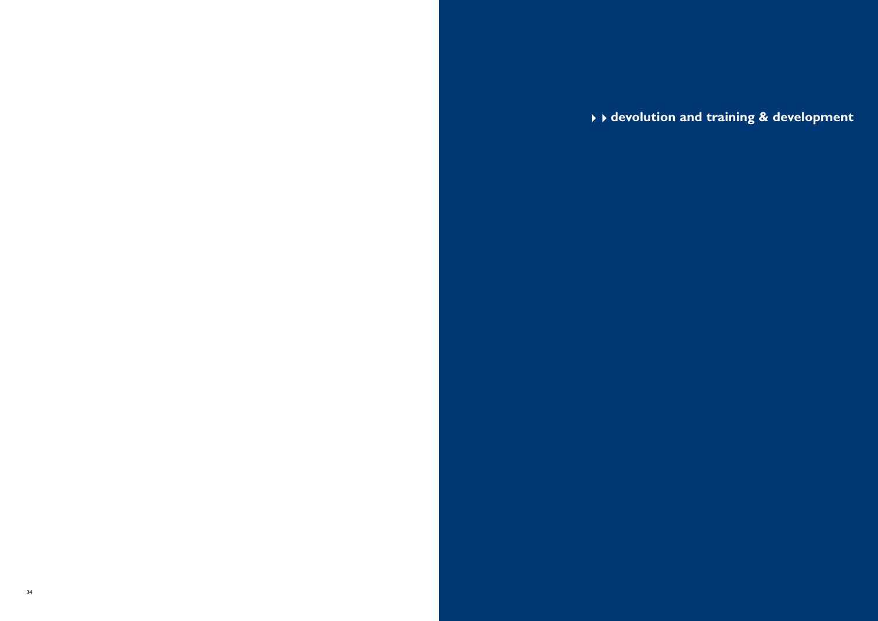**devolution and training & development**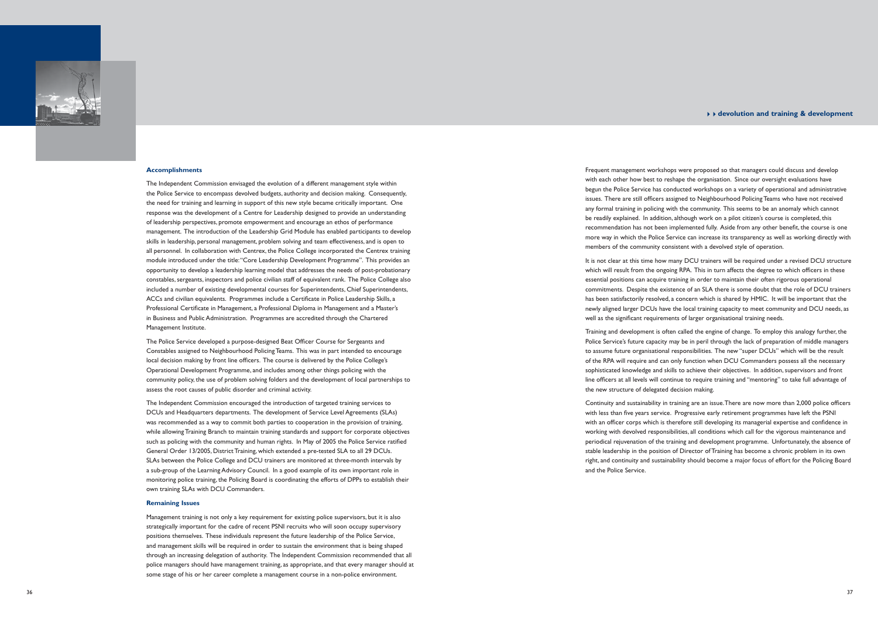It is not clear at this time how many DCU trainers will be required under a revised DCU structure which will result from the ongoing RPA. This in turn affects the degree to which officers in these essential positions can acquire training in order to maintain their often rigorous operational commitments. Despite the existence of an SLA there is some doubt that the role of DCU trainers has been satisfactorily resolved, a concern which is shared by HMIC. It will be important that the newly aligned larger DCUs have the local training capacity to meet community and DCU needs, as well as the significant requirements of larger organisational training needs.

Frequent management workshops were proposed so that managers could discuss and develop with each other how best to reshape the organisation. Since our oversight evaluations have begun the Police Service has conducted workshops on a variety of operational and administrative issues. There are still officers assigned to Neighbourhood Policing Teams who have not received any formal training in policing with the community. This seems to be an anomaly which cannot be readily explained. In addition, although work on a pilot citizen's course is completed, this recommendation has not been implemented fully. Aside from any other benefit, the course is one more way in which the Police Service can increase its transparency as well as working directly with members of the community consistent with a devolved style of operation.

Continuity and sustainability in training are an issue. There are now more than 2,000 police officers with less than five years service. Progressive early retirement programmes have left the PSNI with an officer corps which is therefore still developing its managerial expertise and confidence in working with devolved responsibilities, all conditions which call for the vigorous maintenance and periodical rejuvenation of the training and development programme. Unfortunately, the absence of stable leadership in the position of Director of Training has become a chronic problem in its own right, and continuity and sustainability should become a major focus of effort for the Policing Board and the Police Service.

Training and development is often called the engine of change. To employ this analogy further, the Police Service's future capacity may be in peril through the lack of preparation of middle managers to assume future organisational responsibilities. The new "super DCUs" which will be the result of the RPA will require and can only function when DCU Commanders possess all the necessary sophisticated knowledge and skills to achieve their objectives. In addition, supervisors and front line officers at all levels will continue to require training and "mentoring" to take full advantage of the new structure of delegated decision making.

The Police Service developed a purpose-designed Beat Officer Course for Sergeants and Constables assigned to Neighbourhood Policing Teams. This was in part intended to encourage local decision making by front line officers. The course is delivered by the Police College's Operational Development Programme, and includes among other things policing with the community policy, the use of problem solving folders and the development of local partnerships to assess the root causes of public disorder and criminal activity.



#### **Accomplishments**

The Independent Commission envisaged the evolution of a different management style within the Police Service to encompass devolved budgets, authority and decision making. Consequently, the need for training and learning in support of this new style became critically important. One response was the development of a Centre for Leadership designed to provide an understanding of leadership perspectives, promote empowerment and encourage an ethos of performance management. The introduction of the Leadership Grid Module has enabled participants to develop skills in leadership, personal management, problem solving and team effectiveness, and is open to all personnel. In collaboration with Centrex, the Police College incorporated the Centrex training module introduced under the title: "Core Leadership Development Programme". This provides an opportunity to develop a leadership learning model that addresses the needs of post-probationary constables, sergeants, inspectors and police civilian staff of equivalent rank. The Police College also included a number of existing developmental courses for Superintendents, Chief Superintendents, ACCs and civilian equivalents. Programmes include a Certificate in Police Leadership Skills, a Professional Certificate in Management, a Professional Diploma in Management and a Master's in Business and Public Administration. Programmes are accredited through the Chartered Management Institute.

The Independent Commission encouraged the introduction of targeted training services to DCUs and Headquarters departments. The development of Service Level Agreements (SLAs) was recommended as a way to commit both parties to cooperation in the provision of training, while allowing Training Branch to maintain training standards and support for corporate objectives such as policing with the community and human rights. In May of 2005 the Police Service ratified General Order 13/2005, District Training, which extended a pre-tested SLA to all 29 DCUs. SLAs between the Police College and DCU trainers are monitored at three-month intervals by a sub-group of the Learning Advisory Council. In a good example of its own important role in monitoring police training, the Policing Board is coordinating the efforts of DPPs to establish their own training SLAs with DCU Commanders.

#### **Remaining Issues**

Management training is not only a key requirement for existing police supervisors, but it is also strategically important for the cadre of recent PSNI recruits who will soon occupy supervisory positions themselves. These individuals represent the future leadership of the Police Service, and management skills will be required in order to sustain the environment that is being shaped through an increasing delegation of authority. The Independent Commission recommended that all police managers should have management training, as appropriate, and that every manager should at some stage of his or her career complete a management course in a non-police environment.

## 44**devolution and training & development**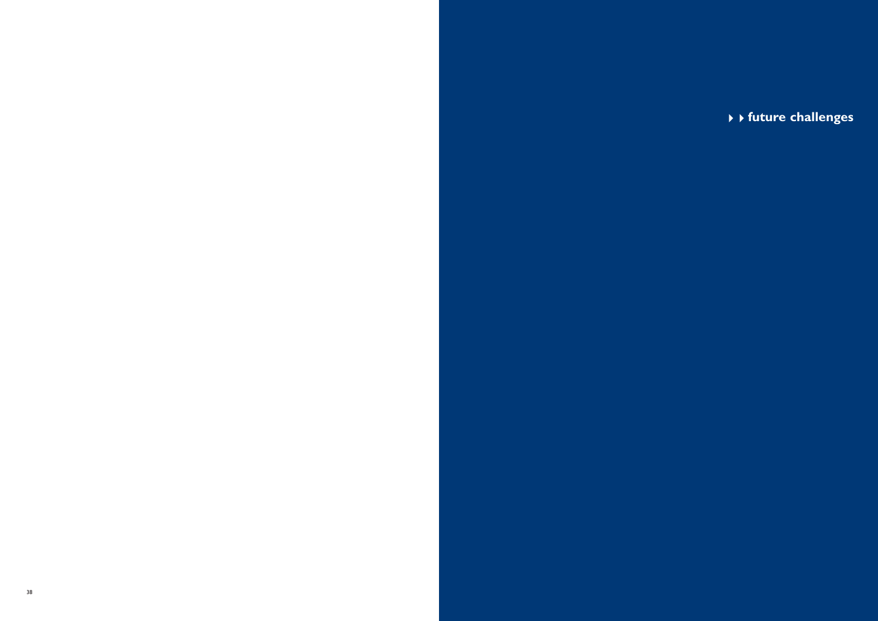**future challenges**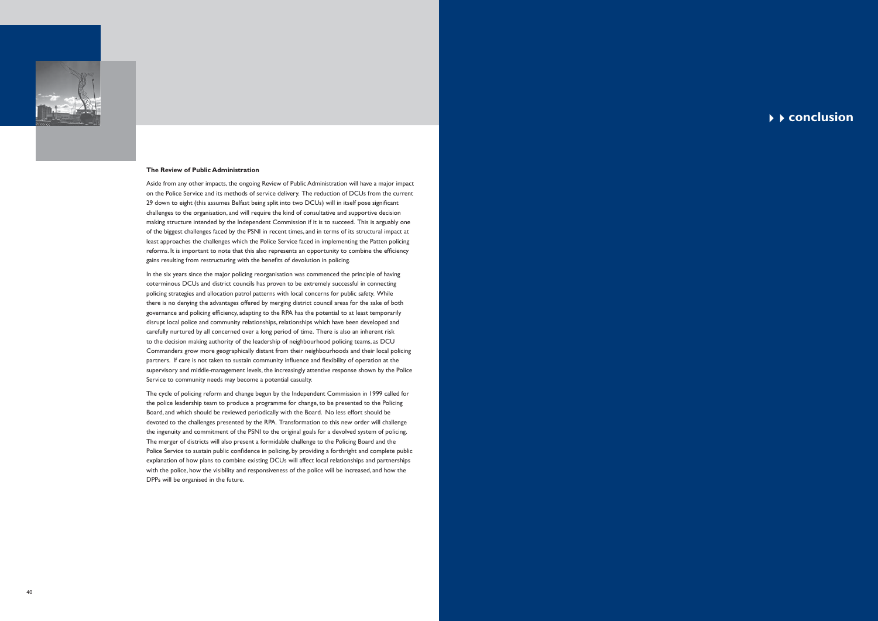

### **The Review of Public Administration**

Aside from any other impacts, the ongoing Review of Public Administration will have a major impact on the Police Service and its methods of service delivery. The reduction of DCUs from the current 29 down to eight (this assumes Belfast being split into two DCUs) will in itself pose significant challenges to the organisation, and will require the kind of consultative and supportive decision making structure intended by the Independent Commission if it is to succeed. This is arguably one of the biggest challenges faced by the PSNI in recent times, and in terms of its structural impact at least approaches the challenges which the Police Service faced in implementing the Patten policing reforms. It is important to note that this also represents an opportunity to combine the efficiency gains resulting from restructuring with the benefits of devolution in policing.

In the six years since the major policing reorganisation was commenced the principle of having coterminous DCUs and district councils has proven to be extremely successful in connecting policing strategies and allocation patrol patterns with local concerns for public safety. While there is no denying the advantages offered by merging district council areas for the sake of both governance and policing efficiency, adapting to the RPA has the potential to at least temporarily disrupt local police and community relationships, relationships which have been developed and carefully nurtured by all concerned over a long period of time. There is also an inherent risk to the decision making authority of the leadership of neighbourhood policing teams, as DCU Commanders grow more geographically distant from their neighbourhoods and their local policing partners. If care is not taken to sustain community influence and flexibility of operation at the supervisory and middle-management levels, the increasingly attentive response shown by the Police Service to community needs may become a potential casualty.

The cycle of policing reform and change begun by the Independent Commission in 1999 called for the police leadership team to produce a programme for change, to be presented to the Policing Board, and which should be reviewed periodically with the Board. No less effort should be devoted to the challenges presented by the RPA. Transformation to this new order will challenge the ingenuity and commitment of the PSNI to the original goals for a devolved system of policing. The merger of districts will also present a formidable challenge to the Policing Board and the Police Service to sustain public confidence in policing, by providing a forthright and complete public explanation of how plans to combine existing DCUs will affect local relationships and partnerships with the police, how the visibility and responsiveness of the police will be increased, and how the DPPs will be organised in the future.

44**conclusion**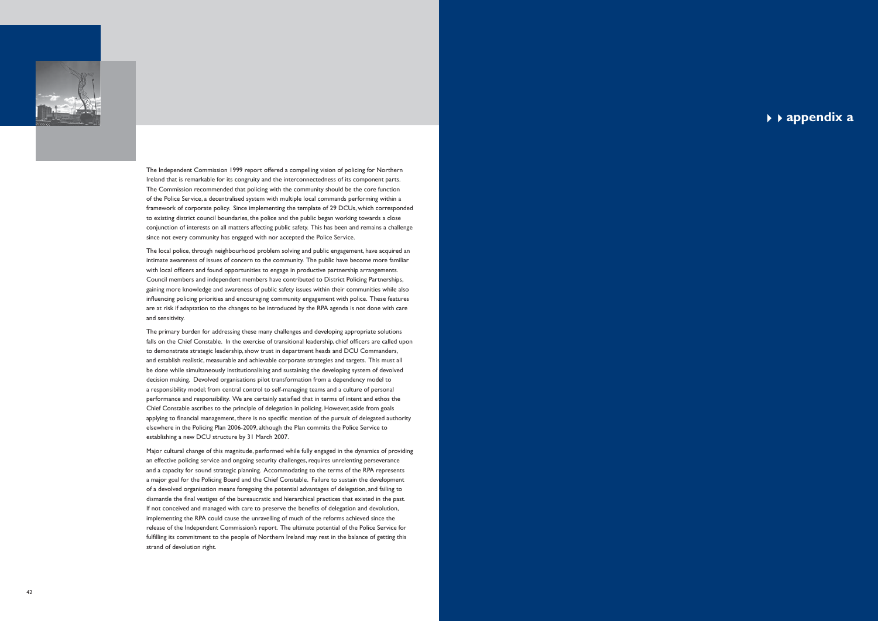

The Independent Commission 1999 report offered a compelling vision of policing for Northern Ireland that is remarkable for its congruity and the interconnectedness of its component parts. The Commission recommended that policing with the community should be the core function of the Police Service, a decentralised system with multiple local commands performing within a framework of corporate policy. Since implementing the template of 29 DCUs, which corresponded to existing district council boundaries, the police and the public began working towards a close conjunction of interests on all matters affecting public safety. This has been and remains a challenge since not every community has engaged with nor accepted the Police Service.

The local police, through neighbourhood problem solving and public engagement, have acquired an intimate awareness of issues of concern to the community. The public have become more familiar with local officers and found opportunities to engage in productive partnership arrangements. Council members and independent members have contributed to District Policing Partnerships, gaining more knowledge and awareness of public safety issues within their communities while also influencing policing priorities and encouraging community engagement with police. These features are at risk if adaptation to the changes to be introduced by the RPA agenda is not done with care and sensitivity.

The primary burden for addressing these many challenges and developing appropriate solutions falls on the Chief Constable. In the exercise of transitional leadership, chief officers are called upon to demonstrate strategic leadership, show trust in department heads and DCU Commanders, and establish realistic, measurable and achievable corporate strategies and targets. This must all be done while simultaneously institutionalising and sustaining the developing system of devolved decision making. Devolved organisations pilot transformation from a dependency model to a responsibility model; from central control to self-managing teams and a culture of personal performance and responsibility. We are certainly satisfied that in terms of intent and ethos the Chief Constable ascribes to the principle of delegation in policing. However, aside from goals applying to financial management, there is no specific mention of the pursuit of delegated authority elsewhere in the Policing Plan 2006-2009, although the Plan commits the Police Service to establishing a new DCU structure by 31 March 2007.

Major cultural change of this magnitude, performed while fully engaged in the dynamics of providing an effective policing service and ongoing security challenges, requires unrelenting perseverance and a capacity for sound strategic planning. Accommodating to the terms of the RPA represents a major goal for the Policing Board and the Chief Constable. Failure to sustain the development of a devolved organisation means foregoing the potential advantages of delegation, and failing to dismantle the final vestiges of the bureaucratic and hierarchical practices that existed in the past. If not conceived and managed with care to preserve the benefits of delegation and devolution, implementing the RPA could cause the unravelling of much of the reforms achieved since the release of the Independent Commission's report. The ultimate potential of the Police Service for fulfilling its commitment to the people of Northern Ireland may rest in the balance of getting this strand of devolution right.

44**appendix a**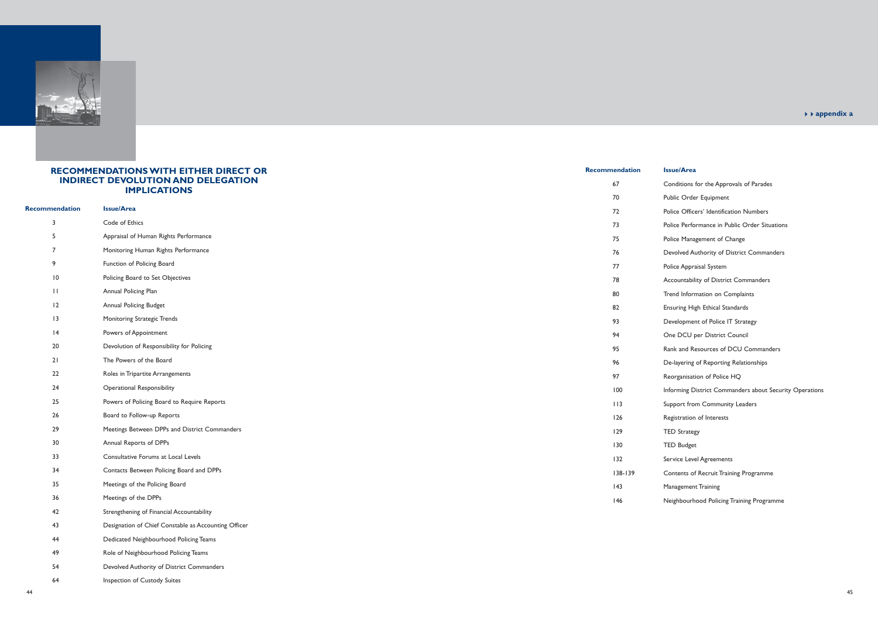

# **RECOMMENDATIONS WITH EITHER DIRECT OR INDIRECT DEVOLUTION AND DELEGATION IMPLICATIONS**

|                       |                                                      | 70         |
|-----------------------|------------------------------------------------------|------------|
| <b>Recommendation</b> | <b>Issue/Area</b>                                    | 72         |
| $\overline{3}$        | Code of Ethics                                       | 73         |
| 5                     | Appraisal of Human Rights Performance                | 75         |
| $\overline{7}$        | Monitoring Human Rights Performance                  | 76         |
| $\,9$                 | Function of Policing Board                           | 77         |
| $\overline{10}$       | Policing Board to Set Objectives                     | 78         |
| $\Box$                | Annual Policing Plan                                 | 80         |
| 12                    | Annual Policing Budget                               | 82         |
| 3                     | Monitoring Strategic Trends                          | 93         |
| 4                     | Powers of Appointment                                | 94         |
| 20                    | Devolution of Responsibility for Policing            | 95         |
| 21                    | The Powers of the Board                              | 96         |
| 22                    | Roles in Tripartite Arrangements                     | 97         |
| 24                    | <b>Operational Responsibility</b>                    | 100        |
| 25                    | Powers of Policing Board to Require Reports          | 113        |
| 26                    | Board to Follow-up Reports                           | 126        |
| 29                    | Meetings Between DPPs and District Commanders        | 129        |
| 30                    | Annual Reports of DPPs                               | 130        |
| 33                    | Consultative Forums at Local Levels                  | 132        |
| 34                    | Contacts Between Policing Board and DPPs             | $138 - 13$ |
| 35                    | Meetings of the Policing Board                       | 43         |
| 36                    | Meetings of the DPPs                                 | 146        |
| 42                    | Strengthening of Financial Accountability            |            |
| 43                    | Designation of Chief Constable as Accounting Officer |            |
| 44                    | Dedicated Neighbourhood Policing Teams               |            |

- 67 Conditions for the Approvals of Parades
	- Public Order Equipment
	- Police Officers' Identification Numbers
	- Police Performance in Public Order Situations
	- Police Management of Change
	- Devolved Authority of District Commanders
	- Police Appraisal System
	- Accountability of District Commanders
	- Trend Information on Complaints
	- **Ensuring High Ethical Standards**
	- Development of Police IT Strategy
	- One DCU per District Council
	- Rank and Resources of DCU Commanders
	- De-layering of Reporting Relationships
	- Reorganisation of Police HQ
	- Informing District Commanders about Security Operations
	- Support from Community Leaders
	- Registration of Interests
	- TED Strategy
	- TED Budget
	- Service Level Agreements
	- 39 Contents of Recruit Training Programme
		- Management Training
		- Neighbourhood Policing Training Programme

- 49 Role of Neighbourhood Policing Teams
- 54 Devolved Authority of District Commanders
- 64 Inspection of Custody Suites

### **Recommendation Issue/Area**

<sup>44</sup>**appendix a**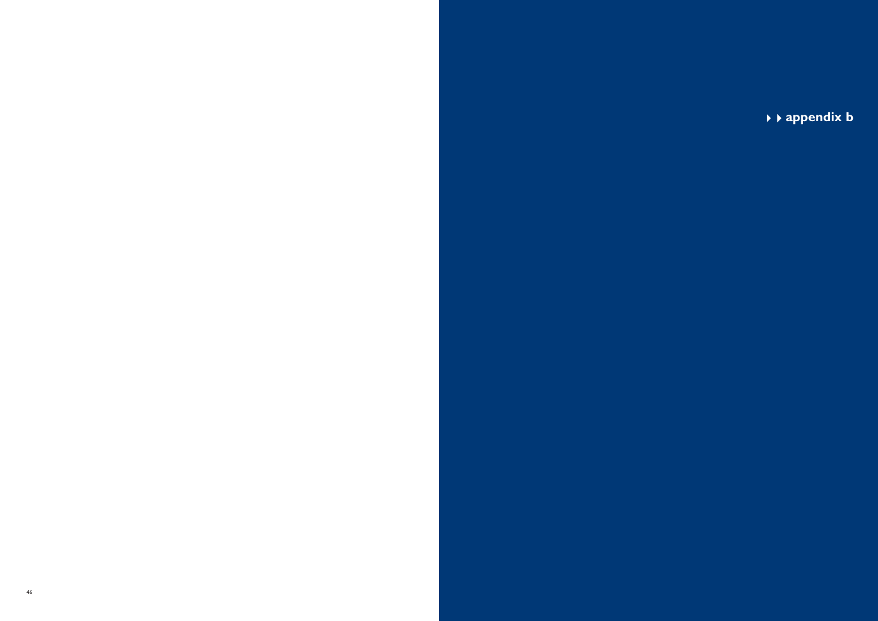**appendix b**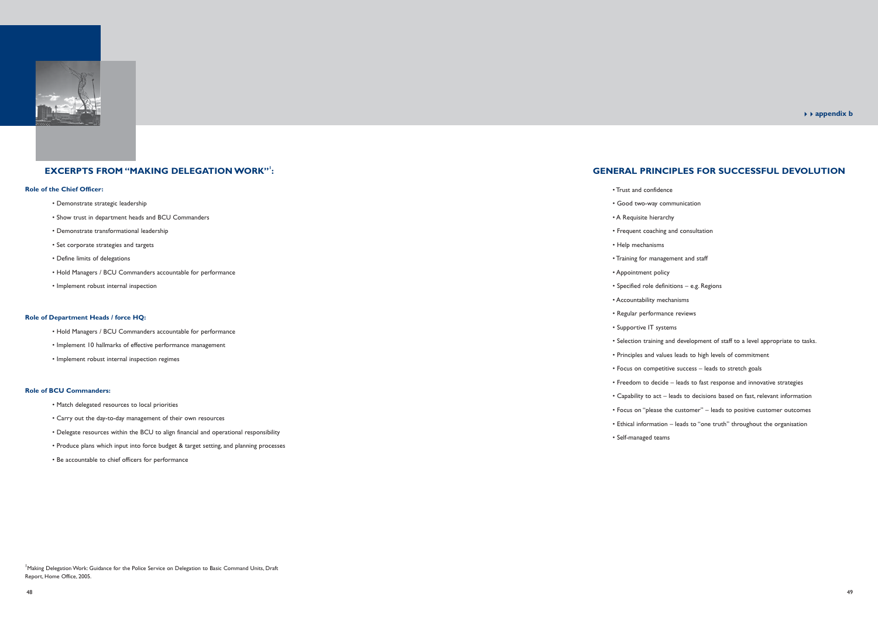

# **EXCERPTS FROM "MAKING DELEGATION WORK"1:**

# **Role of the Chief Officer:**

- Demonstrate strategic leadership
- Show trust in department heads and BCU Commanders
- Demonstrate transformational leadership
- Set corporate strategies and targets
- Define limits of delegations
- Hold Managers / BCU Commanders accountable for performance
- Implement robust internal inspection

# **Role of Department Heads / force HQ:**

- Hold Managers / BCU Commanders accountable for performance
- Implement 10 hallmarks of effective performance management
- Implement robust internal inspection regimes

<sup>1</sup> Making Delegation Work: Guidance for the Police Service on Delegation to Basic Command Units, Draft Report, Home Office, 2005.

### **Role of BCU Commanders:**

- Match delegated resources to local priorities
- Carry out the day-to-day management of their own resources
- Delegate resources within the BCU to align financial and operational responsibility
- Produce plans which input into force budget & target setting, and planning processes
- Be accountable to chief officers for performance

# **GENERAL PRINCIPLES FOR SUCCESSFUL DEVOLUTION**

- Trust and confidence
- Good two-way communication
- A Requisite hierarchy
- 
- Help mechanisms
- 
- Appointment policy
- 
- Accountability mechanisms
- Regular performance reviews
- Supportive IT systems
- 
- 
- 
- 
- -
- 
- Self-managed teams

 • Frequent coaching and consultation • Training for management and staff • Specified role definitions – e.g. Regions • Selection training and development of staff to a level appropriate to tasks. • Principles and values leads to high levels of commitment • Focus on competitive success – leads to stretch goals • Freedom to decide – leads to fast response and innovative strategies • Capability to act – leads to decisions based on fast, relevant information • Focus on "please the customer" – leads to positive customer outcomes • Ethical information – leads to "one truth" throughout the organisation

## <sup>44</sup>**appendix b**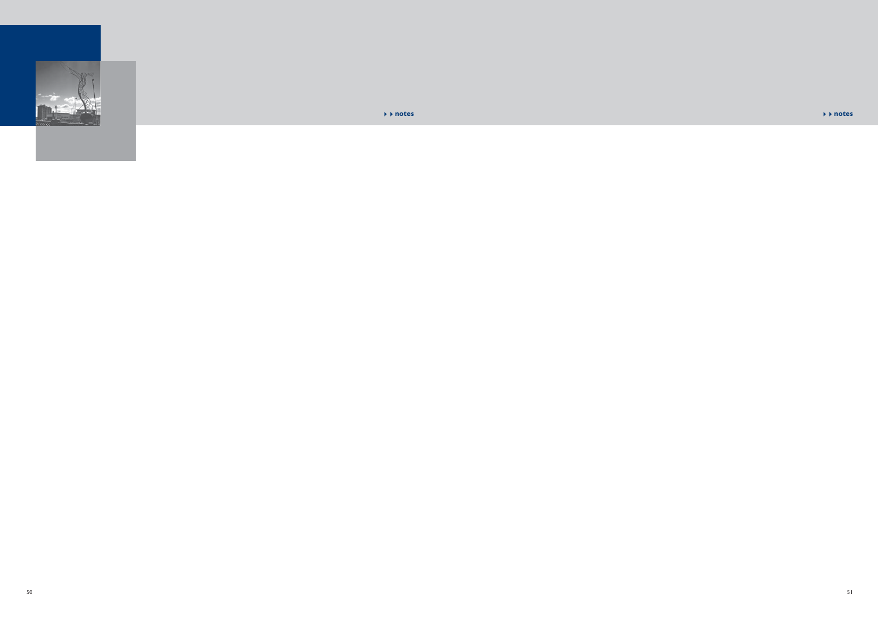

#### **notes** 44**notes**